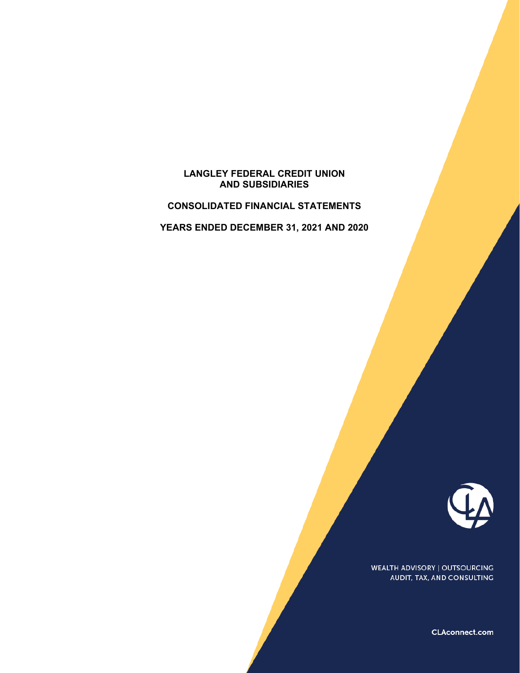# **LANGLEY FEDERAL CREDIT UNION AND SUBSIDIARIES**

## **CONSOLIDATED FINANCIAL STATEMENTS**

**YEARS ENDED DECEMBER 31, 2021 AND 2020** 



**WEALTH ADVISORY | OUTSOURCING** AUDIT, TAX, AND CONSULTING

CLAconnect.com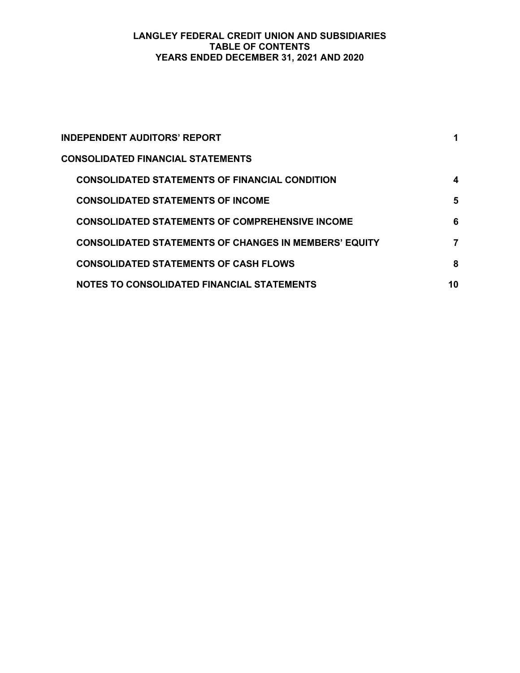## **LANGLEY FEDERAL CREDIT UNION AND SUBSIDIARIES TABLE OF CONTENTS YEARS ENDED DECEMBER 31, 2021 AND 2020**

| <b>INDEPENDENT AUDITORS' REPORT</b>                          |    |
|--------------------------------------------------------------|----|
| <b>CONSOLIDATED FINANCIAL STATEMENTS</b>                     |    |
| <b>CONSOLIDATED STATEMENTS OF FINANCIAL CONDITION</b>        | 4  |
| <b>CONSOLIDATED STATEMENTS OF INCOME</b>                     | 5  |
| <b>CONSOLIDATED STATEMENTS OF COMPREHENSIVE INCOME</b>       | 6  |
| <b>CONSOLIDATED STATEMENTS OF CHANGES IN MEMBERS' EQUITY</b> | 7  |
| <b>CONSOLIDATED STATEMENTS OF CASH FLOWS</b>                 | 8  |
| NOTES TO CONSOLIDATED FINANCIAL STATEMENTS                   | 10 |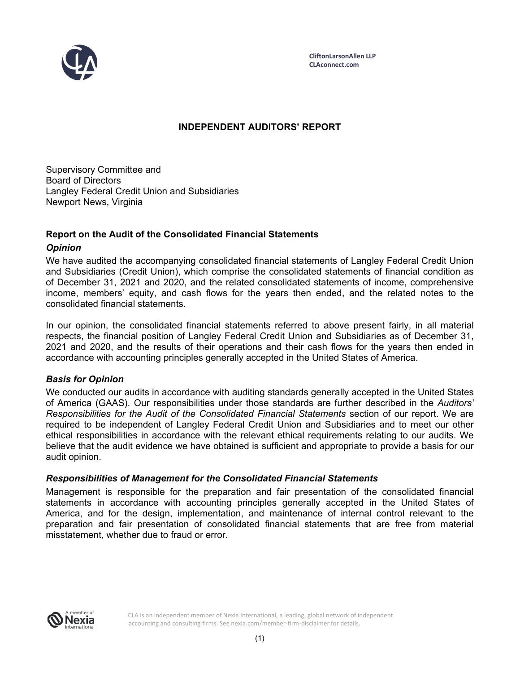

**CliftonLarsonAllen LLP CLAconnect.com**

# **INDEPENDENT AUDITORS' REPORT**

Supervisory Committee and Board of Directors Langley Federal Credit Union and Subsidiaries Newport News, Virginia

# **Report on the Audit of the Consolidated Financial Statements**

#### *Opinion*

We have audited the accompanying consolidated financial statements of Langley Federal Credit Union and Subsidiaries (Credit Union), which comprise the consolidated statements of financial condition as of December 31, 2021 and 2020, and the related consolidated statements of income, comprehensive income, members' equity, and cash flows for the years then ended, and the related notes to the consolidated financial statements.

In our opinion, the consolidated financial statements referred to above present fairly, in all material respects, the financial position of Langley Federal Credit Union and Subsidiaries as of December 31, 2021 and 2020, and the results of their operations and their cash flows for the years then ended in accordance with accounting principles generally accepted in the United States of America.

# *Basis for Opinion*

We conducted our audits in accordance with auditing standards generally accepted in the United States of America (GAAS). Our responsibilities under those standards are further described in the *Auditors' Responsibilities for the Audit of the Consolidated Financial Statements* section of our report. We are required to be independent of Langley Federal Credit Union and Subsidiaries and to meet our other ethical responsibilities in accordance with the relevant ethical requirements relating to our audits. We believe that the audit evidence we have obtained is sufficient and appropriate to provide a basis for our audit opinion.

# *Responsibilities of Management for the Consolidated Financial Statements*

Management is responsible for the preparation and fair presentation of the consolidated financial statements in accordance with accounting principles generally accepted in the United States of America, and for the design, implementation, and maintenance of internal control relevant to the preparation and fair presentation of consolidated financial statements that are free from material misstatement, whether due to fraud or error.



CLA is an independent member of Nexia International, a leading, global network of independent accounting and consulting firms. See nexia.com/member-firm-disclaimer for details.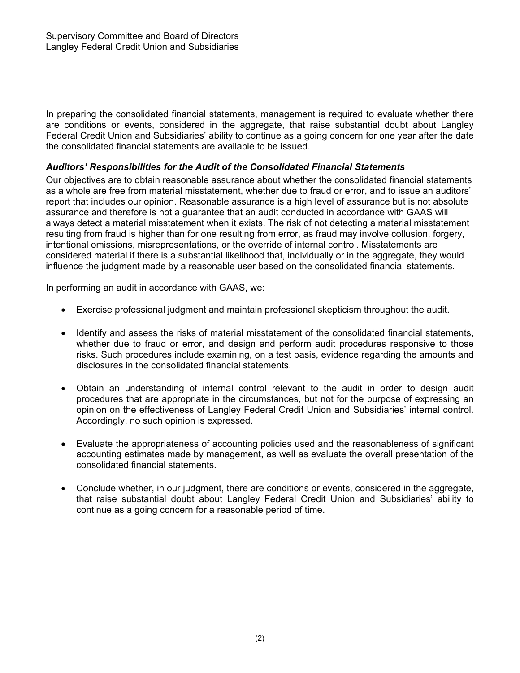In preparing the consolidated financial statements, management is required to evaluate whether there are conditions or events, considered in the aggregate, that raise substantial doubt about Langley Federal Credit Union and Subsidiaries' ability to continue as a going concern for one year after the date the consolidated financial statements are available to be issued.

# *Auditors' Responsibilities for the Audit of the Consolidated Financial Statements*

Our objectives are to obtain reasonable assurance about whether the consolidated financial statements as a whole are free from material misstatement, whether due to fraud or error, and to issue an auditors' report that includes our opinion. Reasonable assurance is a high level of assurance but is not absolute assurance and therefore is not a guarantee that an audit conducted in accordance with GAAS will always detect a material misstatement when it exists. The risk of not detecting a material misstatement resulting from fraud is higher than for one resulting from error, as fraud may involve collusion, forgery, intentional omissions, misrepresentations, or the override of internal control. Misstatements are considered material if there is a substantial likelihood that, individually or in the aggregate, they would influence the judgment made by a reasonable user based on the consolidated financial statements.

In performing an audit in accordance with GAAS, we:

- Exercise professional judgment and maintain professional skepticism throughout the audit.
- Identify and assess the risks of material misstatement of the consolidated financial statements, whether due to fraud or error, and design and perform audit procedures responsive to those risks. Such procedures include examining, on a test basis, evidence regarding the amounts and disclosures in the consolidated financial statements.
- Obtain an understanding of internal control relevant to the audit in order to design audit procedures that are appropriate in the circumstances, but not for the purpose of expressing an opinion on the effectiveness of Langley Federal Credit Union and Subsidiaries' internal control. Accordingly, no such opinion is expressed.
- Evaluate the appropriateness of accounting policies used and the reasonableness of significant accounting estimates made by management, as well as evaluate the overall presentation of the consolidated financial statements.
- Conclude whether, in our judgment, there are conditions or events, considered in the aggregate, that raise substantial doubt about Langley Federal Credit Union and Subsidiaries' ability to continue as a going concern for a reasonable period of time.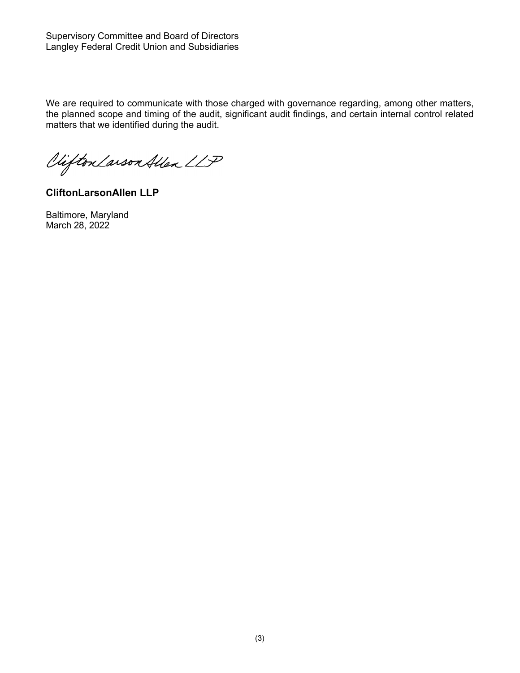Supervisory Committee and Board of Directors Langley Federal Credit Union and Subsidiaries

We are required to communicate with those charged with governance regarding, among other matters, the planned scope and timing of the audit, significant audit findings, and certain internal control related matters that we identified during the audit.

Clifton Larson Allen LLP

**CliftonLarsonAllen LLP** 

Baltimore, Maryland March 28, 2022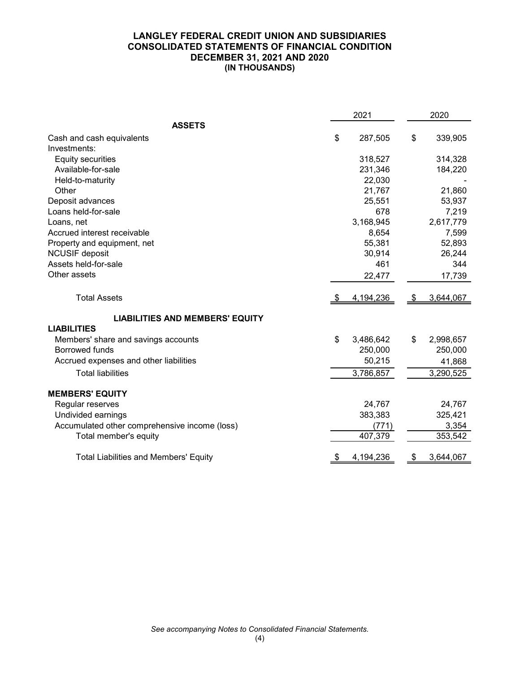## **LANGLEY FEDERAL CREDIT UNION AND SUBSIDIARIES CONSOLIDATED STATEMENTS OF FINANCIAL CONDITION DECEMBER 31, 2021 AND 2020 (IN THOUSANDS)**

|                                               | 2021            | 2020            |
|-----------------------------------------------|-----------------|-----------------|
| <b>ASSETS</b>                                 |                 |                 |
| Cash and cash equivalents                     | \$<br>287,505   | \$<br>339,905   |
| Investments:                                  |                 |                 |
| <b>Equity securities</b>                      | 318,527         | 314,328         |
| Available-for-sale                            | 231,346         | 184,220         |
| Held-to-maturity                              | 22,030          |                 |
| Other                                         | 21,767          | 21,860          |
| Deposit advances                              | 25,551          | 53,937          |
| Loans held-for-sale                           | 678             | 7,219           |
| Loans, net                                    | 3,168,945       | 2,617,779       |
| Accrued interest receivable                   | 8,654           | 7,599           |
| Property and equipment, net                   | 55,381          | 52,893          |
| <b>NCUSIF deposit</b>                         | 30,914          | 26,244          |
| Assets held-for-sale                          | 461             | 344             |
| Other assets                                  | 22,477          | 17,739          |
| <b>Total Assets</b>                           | 4,194,236       | \$<br>3,644,067 |
| <b>LIABILITIES AND MEMBERS' EQUITY</b>        |                 |                 |
| <b>LIABILITIES</b>                            |                 |                 |
| Members' share and savings accounts           | \$<br>3,486,642 | \$<br>2,998,657 |
| <b>Borrowed funds</b>                         | 250,000         | 250,000         |
| Accrued expenses and other liabilities        | 50,215          | 41,868          |
| <b>Total liabilities</b>                      | 3,786,857       | 3,290,525       |
|                                               |                 |                 |
| <b>MEMBERS' EQUITY</b>                        |                 |                 |
| Regular reserves                              | 24,767          | 24,767          |
| Undivided earnings                            | 383,383         | 325,421         |
| Accumulated other comprehensive income (loss) | (771)           | 3,354           |
| Total member's equity                         | 407,379         | 353,542         |
|                                               |                 |                 |
| <b>Total Liabilities and Members' Equity</b>  | 4,194,236       | 3,644,067       |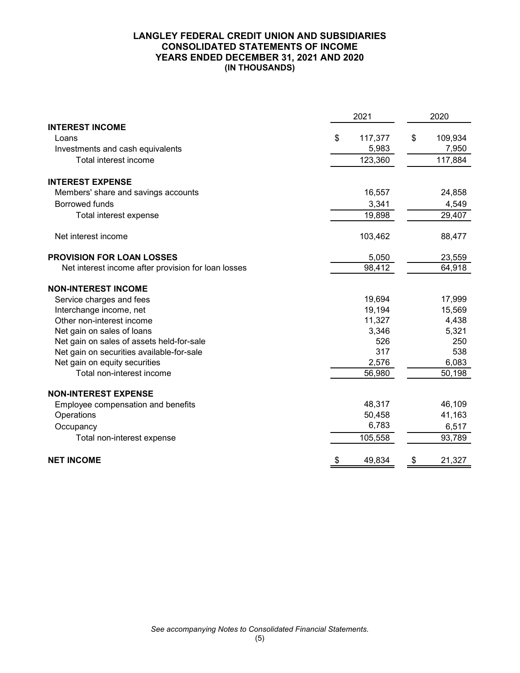## **LANGLEY FEDERAL CREDIT UNION AND SUBSIDIARIES CONSOLIDATED STATEMENTS OF INCOME YEARS ENDED DECEMBER 31, 2021 AND 2020 (IN THOUSANDS)**

|                                                     | 2021                | 2020          |  |  |
|-----------------------------------------------------|---------------------|---------------|--|--|
| <b>INTEREST INCOME</b>                              |                     |               |  |  |
| Loans                                               | \$<br>117,377       | \$<br>109,934 |  |  |
| Investments and cash equivalents                    | 5,983               | 7,950         |  |  |
| Total interest income                               | 123,360             | 117,884       |  |  |
| <b>INTEREST EXPENSE</b>                             |                     |               |  |  |
| Members' share and savings accounts                 | 16,557              | 24,858        |  |  |
| Borrowed funds                                      | 3,341               | 4,549         |  |  |
| Total interest expense                              | 19,898              | 29,407        |  |  |
| Net interest income                                 | 103,462             | 88,477        |  |  |
| <b>PROVISION FOR LOAN LOSSES</b>                    | 5,050               | 23,559        |  |  |
| Net interest income after provision for loan losses | $\overline{98,412}$ | 64,918        |  |  |
| <b>NON-INTEREST INCOME</b>                          |                     |               |  |  |
| Service charges and fees                            | 19,694              | 17,999        |  |  |
| Interchange income, net                             | 19,194              | 15,569        |  |  |
| Other non-interest income                           | 11,327              | 4,438         |  |  |
| Net gain on sales of loans                          | 3,346               | 5,321         |  |  |
| Net gain on sales of assets held-for-sale           | 526                 | 250           |  |  |
| Net gain on securities available-for-sale           | 317                 | 538           |  |  |
| Net gain on equity securities                       | 2,576               | 6,083         |  |  |
| Total non-interest income                           | 56,980              | 50,198        |  |  |
| <b>NON-INTEREST EXPENSE</b>                         |                     |               |  |  |
| Employee compensation and benefits                  | 48,317              | 46,109        |  |  |
| Operations                                          | 50,458              | 41,163        |  |  |
| Occupancy                                           | 6,783               | 6,517         |  |  |
| Total non-interest expense                          | 105,558             | 93,789        |  |  |
| <b>NET INCOME</b>                                   | 49,834<br>\$        | 21,327<br>\$  |  |  |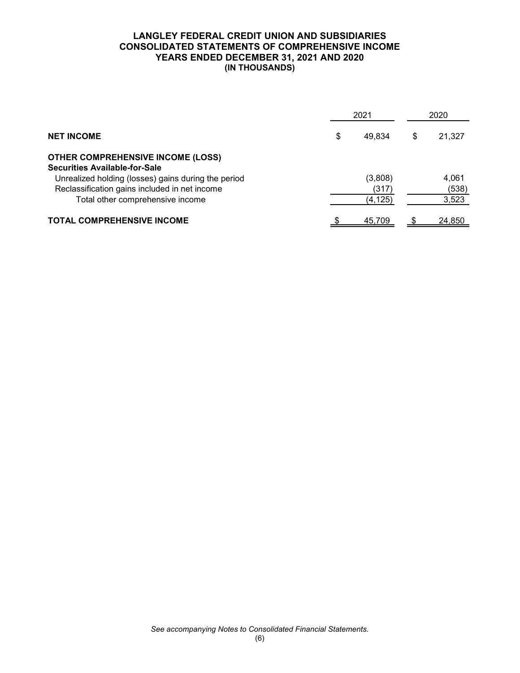### **LANGLEY FEDERAL CREDIT UNION AND SUBSIDIARIES CONSOLIDATED STATEMENTS OF COMPREHENSIVE INCOME YEARS ENDED DECEMBER 31, 2021 AND 2020 (IN THOUSANDS)**

|                                                                           | 2021         | 2020         |  |  |
|---------------------------------------------------------------------------|--------------|--------------|--|--|
| <b>NET INCOME</b>                                                         | \$<br>49.834 | \$<br>21,327 |  |  |
| <b>OTHER COMPREHENSIVE INCOME (LOSS)</b><br>Securities Available-for-Sale |              |              |  |  |
| Unrealized holding (losses) gains during the period                       | (3,808)      | 4,061        |  |  |
| Reclassification gains included in net income                             | (317)        | (538)        |  |  |
| Total other comprehensive income                                          | (4, 125)     | 3,523        |  |  |
| <b>TOTAL COMPREHENSIVE INCOME</b>                                         | 45,709       | 24,850       |  |  |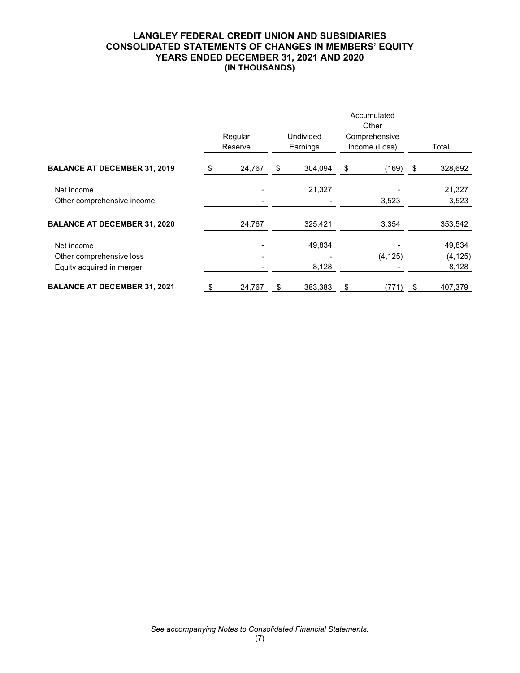### **LANGLEY FEDERAL CREDIT UNION AND SUBSIDIARIES CONSOLIDATED STATEMENTS OF CHANGES IN MEMBERS' EQUITY YEARS ENDED DECEMBER 31, 2021 AND 2020 (IN THOUSANDS)**

|                                                                     | Regular<br>Reserve |                 | Total       |    |                             |
|---------------------------------------------------------------------|--------------------|-----------------|-------------|----|-----------------------------|
| <b>BALANCE AT DECEMBER 31, 2019</b>                                 | 24,767             | \$<br>304,094   | \$<br>(169) | \$ | 328,692                     |
| Net income<br>Other comprehensive income                            |                    | 21,327          | 3,523       |    | 21,327<br>3,523             |
| <b>BALANCE AT DECEMBER 31, 2020</b>                                 | 24,767             | 325,421         | 3,354       |    | 353,542                     |
| Net income<br>Other comprehensive loss<br>Equity acquired in merger |                    | 49,834<br>8,128 | (4, 125)    |    | 49,834<br>(4, 125)<br>8,128 |
| <b>BALANCE AT DECEMBER 31, 2021</b>                                 | 24,767             | 383,383         | (771)       | Ъ. | 407,379                     |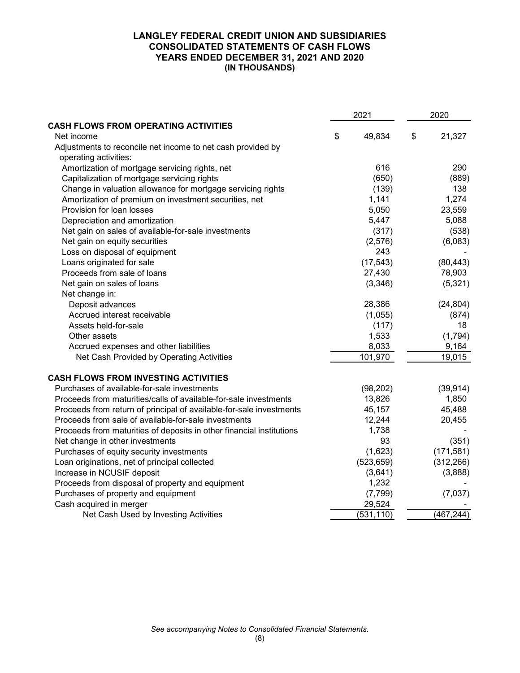## **LANGLEY FEDERAL CREDIT UNION AND SUBSIDIARIES CONSOLIDATED STATEMENTS OF CASH FLOWS YEARS ENDED DECEMBER 31, 2021 AND 2020 (IN THOUSANDS)**

|                                                                      | 2021         | 2020         |
|----------------------------------------------------------------------|--------------|--------------|
| <b>CASH FLOWS FROM OPERATING ACTIVITIES</b>                          |              |              |
| Net income                                                           | \$<br>49,834 | \$<br>21,327 |
| Adjustments to reconcile net income to net cash provided by          |              |              |
| operating activities:                                                |              |              |
| Amortization of mortgage servicing rights, net                       | 616          | 290          |
| Capitalization of mortgage servicing rights                          | (650)        | (889)        |
| Change in valuation allowance for mortgage servicing rights          | (139)        | 138          |
| Amortization of premium on investment securities, net                | 1,141        | 1,274        |
| Provision for loan losses                                            | 5,050        | 23,559       |
| Depreciation and amortization                                        | 5,447        | 5,088        |
| Net gain on sales of available-for-sale investments                  | (317)        | (538)        |
| Net gain on equity securities                                        | (2,576)      | (6,083)      |
| Loss on disposal of equipment                                        | 243          |              |
| Loans originated for sale                                            | (17, 543)    | (80, 443)    |
| Proceeds from sale of loans                                          | 27,430       | 78,903       |
| Net gain on sales of loans                                           | (3,346)      | (5, 321)     |
| Net change in:                                                       |              |              |
| Deposit advances                                                     | 28,386       | (24, 804)    |
| Accrued interest receivable                                          | (1,055)      | (874)        |
| Assets held-for-sale                                                 | (117)        | 18           |
| Other assets                                                         | 1,533        | (1,794)      |
| Accrued expenses and other liabilities                               | 8,033        | 9,164        |
| Net Cash Provided by Operating Activities                            | 101,970      | 19,015       |
| <b>CASH FLOWS FROM INVESTING ACTIVITIES</b>                          |              |              |
| Purchases of available-for-sale investments                          | (98, 202)    | (39, 914)    |
| Proceeds from maturities/calls of available-for-sale investments     | 13,826       | 1,850        |
| Proceeds from return of principal of available-for-sale investments  | 45,157       | 45,488       |
| Proceeds from sale of available-for-sale investments                 | 12,244       | 20,455       |
| Proceeds from maturities of deposits in other financial institutions | 1,738        |              |
| Net change in other investments                                      | 93           | (351)        |
| Purchases of equity security investments                             | (1,623)      | (171, 581)   |
| Loan originations, net of principal collected                        | (523, 659)   | (312, 266)   |
| Increase in NCUSIF deposit                                           | (3,641)      | (3,888)      |
| Proceeds from disposal of property and equipment                     | 1,232        |              |
| Purchases of property and equipment                                  | (7, 799)     | (7,037)      |
| Cash acquired in merger                                              | 29,524       |              |
| Net Cash Used by Investing Activities                                | (531, 110)   | (467, 244)   |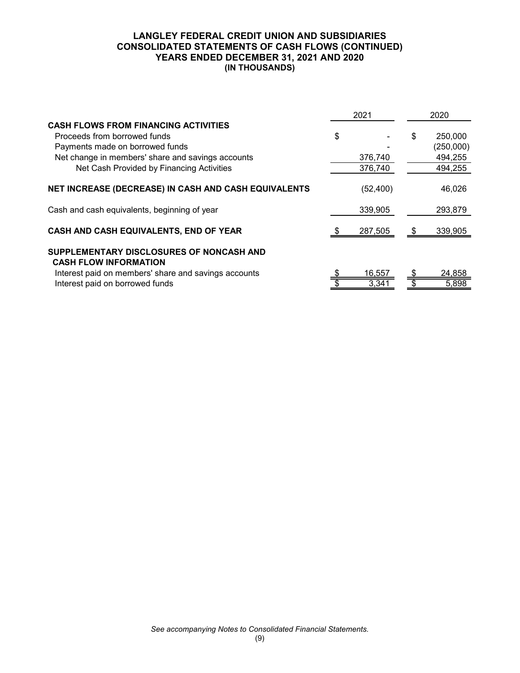## **LANGLEY FEDERAL CREDIT UNION AND SUBSIDIARIES CONSOLIDATED STATEMENTS OF CASH FLOWS (CONTINUED) YEARS ENDED DECEMBER 31, 2021 AND 2020 (IN THOUSANDS)**

|                                                                          | 2021      | 2020          |  |  |
|--------------------------------------------------------------------------|-----------|---------------|--|--|
| <b>CASH FLOWS FROM FINANCING ACTIVITIES</b>                              |           |               |  |  |
| Proceeds from borrowed funds                                             | \$        | \$<br>250,000 |  |  |
| Payments made on borrowed funds                                          |           | (250,000)     |  |  |
| Net change in members' share and savings accounts                        | 376,740   | 494,255       |  |  |
| Net Cash Provided by Financing Activities                                | 376,740   | 494,255       |  |  |
| NET INCREASE (DECREASE) IN CASH AND CASH EQUIVALENTS                     | (52, 400) | 46,026        |  |  |
| Cash and cash equivalents, beginning of year                             | 339,905   | 293,879       |  |  |
| CASH AND CASH EQUIVALENTS, END OF YEAR                                   | 287,505   | 339,905       |  |  |
| SUPPLEMENTARY DISCLOSURES OF NONCASH AND<br><b>CASH FLOW INFORMATION</b> |           |               |  |  |
| Interest paid on members' share and savings accounts                     | 16,557    | 24,858        |  |  |
| Interest paid on borrowed funds                                          | 3.34'     | 5,898         |  |  |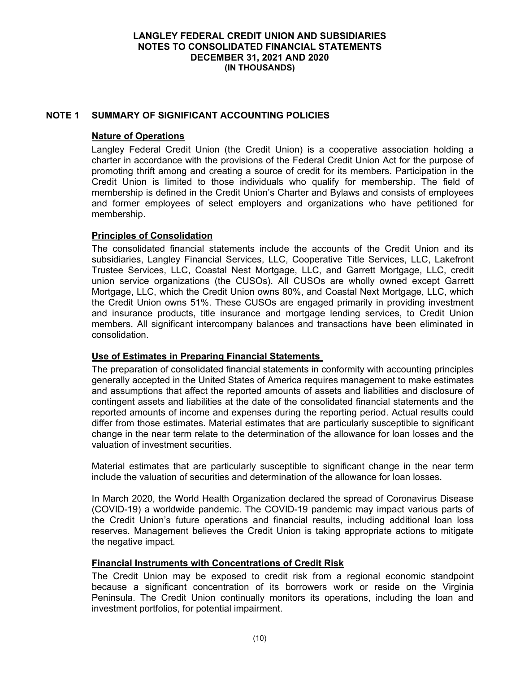# **NOTE 1 SUMMARY OF SIGNIFICANT ACCOUNTING POLICIES**

# **Nature of Operations**

Langley Federal Credit Union (the Credit Union) is a cooperative association holding a charter in accordance with the provisions of the Federal Credit Union Act for the purpose of promoting thrift among and creating a source of credit for its members. Participation in the Credit Union is limited to those individuals who qualify for membership. The field of membership is defined in the Credit Union's Charter and Bylaws and consists of employees and former employees of select employers and organizations who have petitioned for membership.

# **Principles of Consolidation**

The consolidated financial statements include the accounts of the Credit Union and its subsidiaries, Langley Financial Services, LLC, Cooperative Title Services, LLC, Lakefront Trustee Services, LLC, Coastal Nest Mortgage, LLC, and Garrett Mortgage, LLC, credit union service organizations (the CUSOs). All CUSOs are wholly owned except Garrett Mortgage, LLC, which the Credit Union owns 80%, and Coastal Next Mortgage, LLC, which the Credit Union owns 51%. These CUSOs are engaged primarily in providing investment and insurance products, title insurance and mortgage lending services, to Credit Union members. All significant intercompany balances and transactions have been eliminated in consolidation.

# **Use of Estimates in Preparing Financial Statements**

The preparation of consolidated financial statements in conformity with accounting principles generally accepted in the United States of America requires management to make estimates and assumptions that affect the reported amounts of assets and liabilities and disclosure of contingent assets and liabilities at the date of the consolidated financial statements and the reported amounts of income and expenses during the reporting period. Actual results could differ from those estimates. Material estimates that are particularly susceptible to significant change in the near term relate to the determination of the allowance for loan losses and the valuation of investment securities.

Material estimates that are particularly susceptible to significant change in the near term include the valuation of securities and determination of the allowance for loan losses.

In March 2020, the World Health Organization declared the spread of Coronavirus Disease (COVID-19) a worldwide pandemic. The COVID-19 pandemic may impact various parts of the Credit Union's future operations and financial results, including additional loan loss reserves. Management believes the Credit Union is taking appropriate actions to mitigate the negative impact.

# **Financial Instruments with Concentrations of Credit Risk**

The Credit Union may be exposed to credit risk from a regional economic standpoint because a significant concentration of its borrowers work or reside on the Virginia Peninsula. The Credit Union continually monitors its operations, including the loan and investment portfolios, for potential impairment.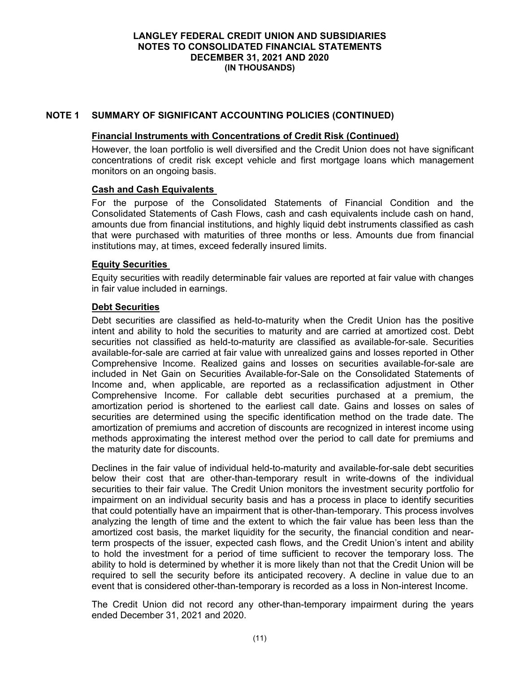# **NOTE 1 SUMMARY OF SIGNIFICANT ACCOUNTING POLICIES (CONTINUED)**

## **Financial Instruments with Concentrations of Credit Risk (Continued)**

However, the loan portfolio is well diversified and the Credit Union does not have significant concentrations of credit risk except vehicle and first mortgage loans which management monitors on an ongoing basis.

## **Cash and Cash Equivalents**

For the purpose of the Consolidated Statements of Financial Condition and the Consolidated Statements of Cash Flows, cash and cash equivalents include cash on hand, amounts due from financial institutions, and highly liquid debt instruments classified as cash that were purchased with maturities of three months or less. Amounts due from financial institutions may, at times, exceed federally insured limits.

# **Equity Securities**

Equity securities with readily determinable fair values are reported at fair value with changes in fair value included in earnings.

## **Debt Securities**

Debt securities are classified as held-to-maturity when the Credit Union has the positive intent and ability to hold the securities to maturity and are carried at amortized cost. Debt securities not classified as held-to-maturity are classified as available-for-sale. Securities available-for-sale are carried at fair value with unrealized gains and losses reported in Other Comprehensive Income. Realized gains and losses on securities available-for-sale are included in Net Gain on Securities Available-for-Sale on the Consolidated Statements of Income and, when applicable, are reported as a reclassification adjustment in Other Comprehensive Income. For callable debt securities purchased at a premium, the amortization period is shortened to the earliest call date. Gains and losses on sales of securities are determined using the specific identification method on the trade date. The amortization of premiums and accretion of discounts are recognized in interest income using methods approximating the interest method over the period to call date for premiums and the maturity date for discounts.

Declines in the fair value of individual held-to-maturity and available-for-sale debt securities below their cost that are other-than-temporary result in write-downs of the individual securities to their fair value. The Credit Union monitors the investment security portfolio for impairment on an individual security basis and has a process in place to identify securities that could potentially have an impairment that is other-than-temporary. This process involves analyzing the length of time and the extent to which the fair value has been less than the amortized cost basis, the market liquidity for the security, the financial condition and nearterm prospects of the issuer, expected cash flows, and the Credit Union's intent and ability to hold the investment for a period of time sufficient to recover the temporary loss. The ability to hold is determined by whether it is more likely than not that the Credit Union will be required to sell the security before its anticipated recovery. A decline in value due to an event that is considered other-than-temporary is recorded as a loss in Non-interest Income.

The Credit Union did not record any other-than-temporary impairment during the years ended December 31, 2021 and 2020.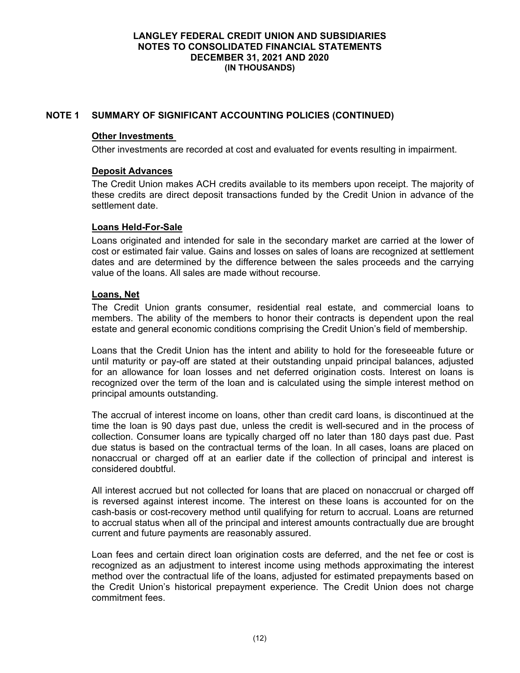# **NOTE 1 SUMMARY OF SIGNIFICANT ACCOUNTING POLICIES (CONTINUED)**

## **Other Investments**

Other investments are recorded at cost and evaluated for events resulting in impairment.

## **Deposit Advances**

The Credit Union makes ACH credits available to its members upon receipt. The majority of these credits are direct deposit transactions funded by the Credit Union in advance of the settlement date.

## **Loans Held-For-Sale**

Loans originated and intended for sale in the secondary market are carried at the lower of cost or estimated fair value. Gains and losses on sales of loans are recognized at settlement dates and are determined by the difference between the sales proceeds and the carrying value of the loans. All sales are made without recourse.

# **Loans, Net**

The Credit Union grants consumer, residential real estate, and commercial loans to members. The ability of the members to honor their contracts is dependent upon the real estate and general economic conditions comprising the Credit Union's field of membership.

Loans that the Credit Union has the intent and ability to hold for the foreseeable future or until maturity or pay-off are stated at their outstanding unpaid principal balances, adjusted for an allowance for loan losses and net deferred origination costs. Interest on loans is recognized over the term of the loan and is calculated using the simple interest method on principal amounts outstanding.

The accrual of interest income on loans, other than credit card loans, is discontinued at the time the loan is 90 days past due, unless the credit is well-secured and in the process of collection. Consumer loans are typically charged off no later than 180 days past due. Past due status is based on the contractual terms of the loan. In all cases, loans are placed on nonaccrual or charged off at an earlier date if the collection of principal and interest is considered doubtful.

All interest accrued but not collected for loans that are placed on nonaccrual or charged off is reversed against interest income. The interest on these loans is accounted for on the cash-basis or cost-recovery method until qualifying for return to accrual. Loans are returned to accrual status when all of the principal and interest amounts contractually due are brought current and future payments are reasonably assured.

Loan fees and certain direct loan origination costs are deferred, and the net fee or cost is recognized as an adjustment to interest income using methods approximating the interest method over the contractual life of the loans, adjusted for estimated prepayments based on the Credit Union's historical prepayment experience. The Credit Union does not charge commitment fees.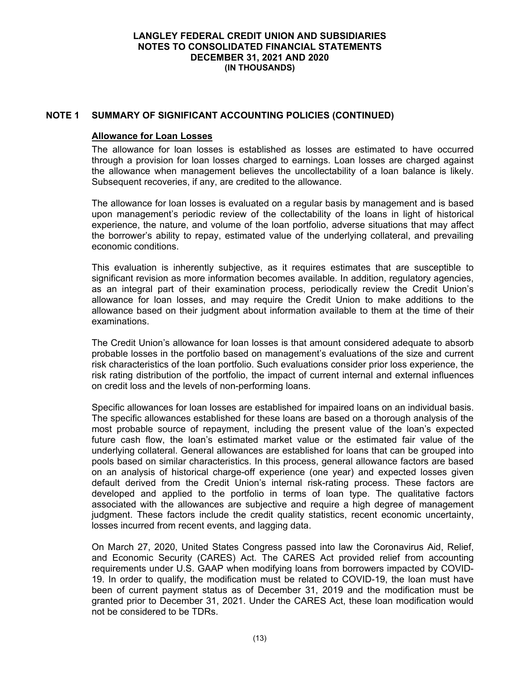# **NOTE 1 SUMMARY OF SIGNIFICANT ACCOUNTING POLICIES (CONTINUED)**

### **Allowance for Loan Losses**

The allowance for loan losses is established as losses are estimated to have occurred through a provision for loan losses charged to earnings. Loan losses are charged against the allowance when management believes the uncollectability of a loan balance is likely. Subsequent recoveries, if any, are credited to the allowance.

The allowance for loan losses is evaluated on a regular basis by management and is based upon management's periodic review of the collectability of the loans in light of historical experience, the nature, and volume of the loan portfolio, adverse situations that may affect the borrower's ability to repay, estimated value of the underlying collateral, and prevailing economic conditions.

This evaluation is inherently subjective, as it requires estimates that are susceptible to significant revision as more information becomes available. In addition, regulatory agencies, as an integral part of their examination process, periodically review the Credit Union's allowance for loan losses, and may require the Credit Union to make additions to the allowance based on their judgment about information available to them at the time of their examinations.

The Credit Union's allowance for loan losses is that amount considered adequate to absorb probable losses in the portfolio based on management's evaluations of the size and current risk characteristics of the loan portfolio. Such evaluations consider prior loss experience, the risk rating distribution of the portfolio, the impact of current internal and external influences on credit loss and the levels of non-performing loans.

Specific allowances for loan losses are established for impaired loans on an individual basis. The specific allowances established for these loans are based on a thorough analysis of the most probable source of repayment, including the present value of the loan's expected future cash flow, the loan's estimated market value or the estimated fair value of the underlying collateral. General allowances are established for loans that can be grouped into pools based on similar characteristics. In this process, general allowance factors are based on an analysis of historical charge-off experience (one year) and expected losses given default derived from the Credit Union's internal risk-rating process. These factors are developed and applied to the portfolio in terms of loan type. The qualitative factors associated with the allowances are subjective and require a high degree of management judgment. These factors include the credit quality statistics, recent economic uncertainty, losses incurred from recent events, and lagging data.

On March 27, 2020, United States Congress passed into law the Coronavirus Aid, Relief, and Economic Security (CARES) Act. The CARES Act provided relief from accounting requirements under U.S. GAAP when modifying loans from borrowers impacted by COVID-19. In order to qualify, the modification must be related to COVID-19, the loan must have been of current payment status as of December 31, 2019 and the modification must be granted prior to December 31, 2021. Under the CARES Act, these loan modification would not be considered to be TDRs.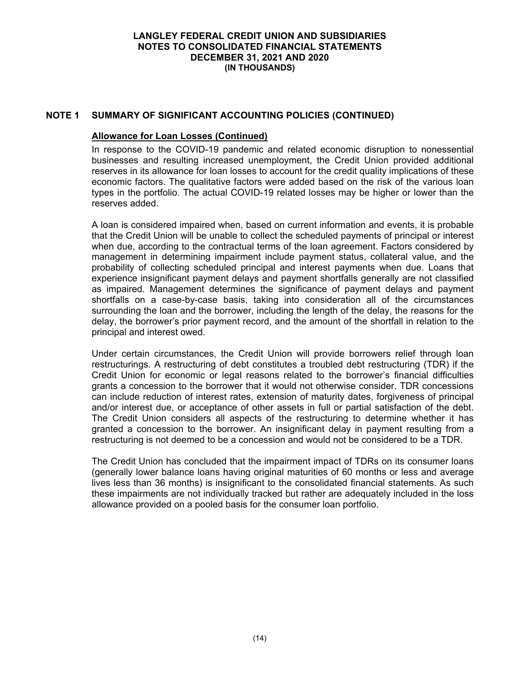# **NOTE 1 SUMMARY OF SIGNIFICANT ACCOUNTING POLICIES (CONTINUED)**

## **Allowance for Loan Losses (Continued)**

In response to the COVID-19 pandemic and related economic disruption to nonessential businesses and resulting increased unemployment, the Credit Union provided additional reserves in its allowance for loan losses to account for the credit quality implications of these economic factors. The qualitative factors were added based on the risk of the various loan types in the portfolio. The actual COVID-19 related losses may be higher or lower than the reserves added.

A loan is considered impaired when, based on current information and events, it is probable that the Credit Union will be unable to collect the scheduled payments of principal or interest when due, according to the contractual terms of the loan agreement. Factors considered by management in determining impairment include payment status, collateral value, and the probability of collecting scheduled principal and interest payments when due. Loans that experience insignificant payment delays and payment shortfalls generally are not classified as impaired. Management determines the significance of payment delays and payment shortfalls on a case-by-case basis, taking into consideration all of the circumstances surrounding the loan and the borrower, including the length of the delay, the reasons for the delay, the borrower's prior payment record, and the amount of the shortfall in relation to the principal and interest owed.

Under certain circumstances, the Credit Union will provide borrowers relief through loan restructurings. A restructuring of debt constitutes a troubled debt restructuring (TDR) if the Credit Union for economic or legal reasons related to the borrower's financial difficulties grants a concession to the borrower that it would not otherwise consider. TDR concessions can include reduction of interest rates, extension of maturity dates, forgiveness of principal and/or interest due, or acceptance of other assets in full or partial satisfaction of the debt. The Credit Union considers all aspects of the restructuring to determine whether it has granted a concession to the borrower. An insignificant delay in payment resulting from a restructuring is not deemed to be a concession and would not be considered to be a TDR.

The Credit Union has concluded that the impairment impact of TDRs on its consumer loans (generally lower balance loans having original maturities of 60 months or less and average lives less than 36 months) is insignificant to the consolidated financial statements. As such these impairments are not individually tracked but rather are adequately included in the loss allowance provided on a pooled basis for the consumer loan portfolio.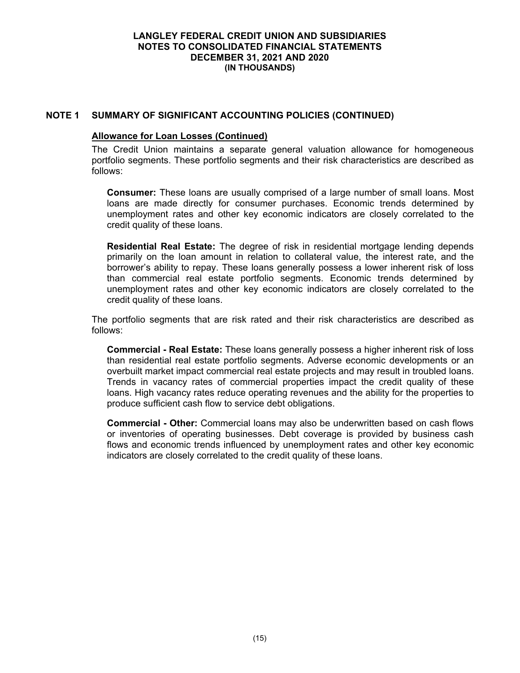# **NOTE 1 SUMMARY OF SIGNIFICANT ACCOUNTING POLICIES (CONTINUED)**

### **Allowance for Loan Losses (Continued)**

The Credit Union maintains a separate general valuation allowance for homogeneous portfolio segments. These portfolio segments and their risk characteristics are described as follows:

**Consumer:** These loans are usually comprised of a large number of small loans. Most loans are made directly for consumer purchases. Economic trends determined by unemployment rates and other key economic indicators are closely correlated to the credit quality of these loans.

**Residential Real Estate:** The degree of risk in residential mortgage lending depends primarily on the loan amount in relation to collateral value, the interest rate, and the borrower's ability to repay. These loans generally possess a lower inherent risk of loss than commercial real estate portfolio segments. Economic trends determined by unemployment rates and other key economic indicators are closely correlated to the credit quality of these loans.

The portfolio segments that are risk rated and their risk characteristics are described as follows:

**Commercial - Real Estate:** These loans generally possess a higher inherent risk of loss than residential real estate portfolio segments. Adverse economic developments or an overbuilt market impact commercial real estate projects and may result in troubled loans. Trends in vacancy rates of commercial properties impact the credit quality of these loans. High vacancy rates reduce operating revenues and the ability for the properties to produce sufficient cash flow to service debt obligations.

**Commercial - Other:** Commercial loans may also be underwritten based on cash flows or inventories of operating businesses. Debt coverage is provided by business cash flows and economic trends influenced by unemployment rates and other key economic indicators are closely correlated to the credit quality of these loans.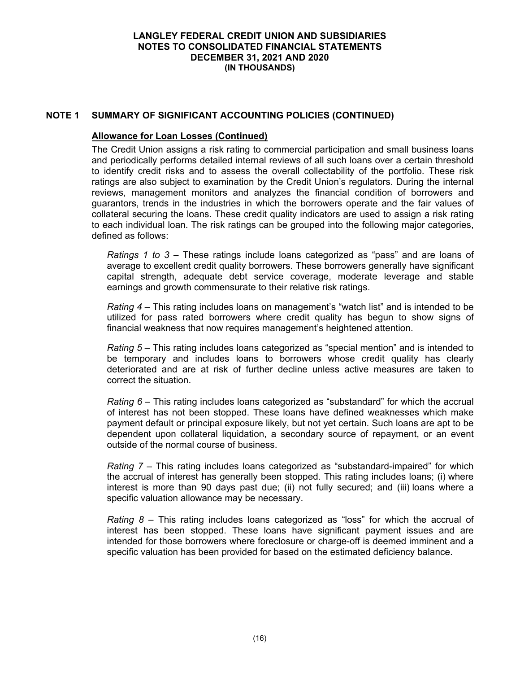# **NOTE 1 SUMMARY OF SIGNIFICANT ACCOUNTING POLICIES (CONTINUED)**

## **Allowance for Loan Losses (Continued)**

The Credit Union assigns a risk rating to commercial participation and small business loans and periodically performs detailed internal reviews of all such loans over a certain threshold to identify credit risks and to assess the overall collectability of the portfolio. These risk ratings are also subject to examination by the Credit Union's regulators. During the internal reviews, management monitors and analyzes the financial condition of borrowers and guarantors, trends in the industries in which the borrowers operate and the fair values of collateral securing the loans. These credit quality indicators are used to assign a risk rating to each individual loan. The risk ratings can be grouped into the following major categories, defined as follows:

*Ratings 1 to 3* – These ratings include loans categorized as "pass" and are loans of average to excellent credit quality borrowers. These borrowers generally have significant capital strength, adequate debt service coverage, moderate leverage and stable earnings and growth commensurate to their relative risk ratings.

*Rating 4* – This rating includes loans on management's "watch list" and is intended to be utilized for pass rated borrowers where credit quality has begun to show signs of financial weakness that now requires management's heightened attention.

*Rating 5* – This rating includes loans categorized as "special mention" and is intended to be temporary and includes loans to borrowers whose credit quality has clearly deteriorated and are at risk of further decline unless active measures are taken to correct the situation.

*Rating 6* – This rating includes loans categorized as "substandard" for which the accrual of interest has not been stopped. These loans have defined weaknesses which make payment default or principal exposure likely, but not yet certain. Such loans are apt to be dependent upon collateral liquidation, a secondary source of repayment, or an event outside of the normal course of business.

*Rating 7* – This rating includes loans categorized as "substandard-impaired" for which the accrual of interest has generally been stopped. This rating includes loans; (i) where interest is more than 90 days past due; (ii) not fully secured; and (iii) loans where a specific valuation allowance may be necessary.

*Rating 8* – This rating includes loans categorized as "loss" for which the accrual of interest has been stopped. These loans have significant payment issues and are intended for those borrowers where foreclosure or charge-off is deemed imminent and a specific valuation has been provided for based on the estimated deficiency balance.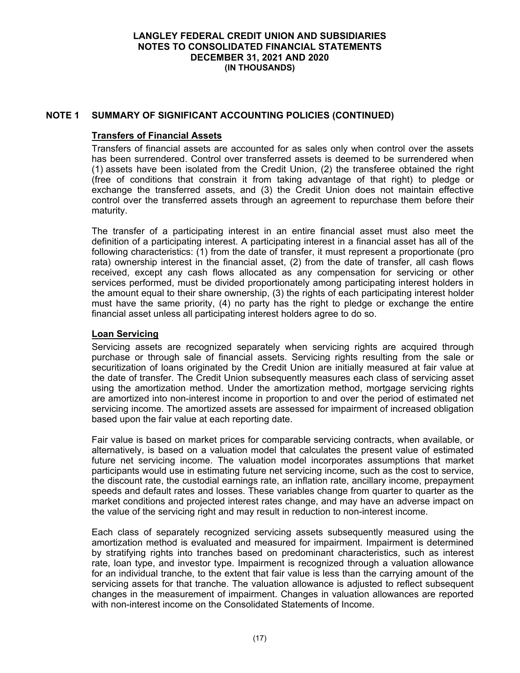# **NOTE 1 SUMMARY OF SIGNIFICANT ACCOUNTING POLICIES (CONTINUED)**

# **Transfers of Financial Assets**

Transfers of financial assets are accounted for as sales only when control over the assets has been surrendered. Control over transferred assets is deemed to be surrendered when (1) assets have been isolated from the Credit Union, (2) the transferee obtained the right (free of conditions that constrain it from taking advantage of that right) to pledge or exchange the transferred assets, and (3) the Credit Union does not maintain effective control over the transferred assets through an agreement to repurchase them before their maturity.

The transfer of a participating interest in an entire financial asset must also meet the definition of a participating interest. A participating interest in a financial asset has all of the following characteristics: (1) from the date of transfer, it must represent a proportionate (pro rata) ownership interest in the financial asset, (2) from the date of transfer, all cash flows received, except any cash flows allocated as any compensation for servicing or other services performed, must be divided proportionately among participating interest holders in the amount equal to their share ownership, (3) the rights of each participating interest holder must have the same priority, (4) no party has the right to pledge or exchange the entire financial asset unless all participating interest holders agree to do so.

## **Loan Servicing**

Servicing assets are recognized separately when servicing rights are acquired through purchase or through sale of financial assets. Servicing rights resulting from the sale or securitization of loans originated by the Credit Union are initially measured at fair value at the date of transfer. The Credit Union subsequently measures each class of servicing asset using the amortization method. Under the amortization method, mortgage servicing rights are amortized into non-interest income in proportion to and over the period of estimated net servicing income. The amortized assets are assessed for impairment of increased obligation based upon the fair value at each reporting date.

Fair value is based on market prices for comparable servicing contracts, when available, or alternatively, is based on a valuation model that calculates the present value of estimated future net servicing income. The valuation model incorporates assumptions that market participants would use in estimating future net servicing income, such as the cost to service, the discount rate, the custodial earnings rate, an inflation rate, ancillary income, prepayment speeds and default rates and losses. These variables change from quarter to quarter as the market conditions and projected interest rates change, and may have an adverse impact on the value of the servicing right and may result in reduction to non-interest income.

Each class of separately recognized servicing assets subsequently measured using the amortization method is evaluated and measured for impairment. Impairment is determined by stratifying rights into tranches based on predominant characteristics, such as interest rate, loan type, and investor type. Impairment is recognized through a valuation allowance for an individual tranche, to the extent that fair value is less than the carrying amount of the servicing assets for that tranche. The valuation allowance is adjusted to reflect subsequent changes in the measurement of impairment. Changes in valuation allowances are reported with non-interest income on the Consolidated Statements of Income.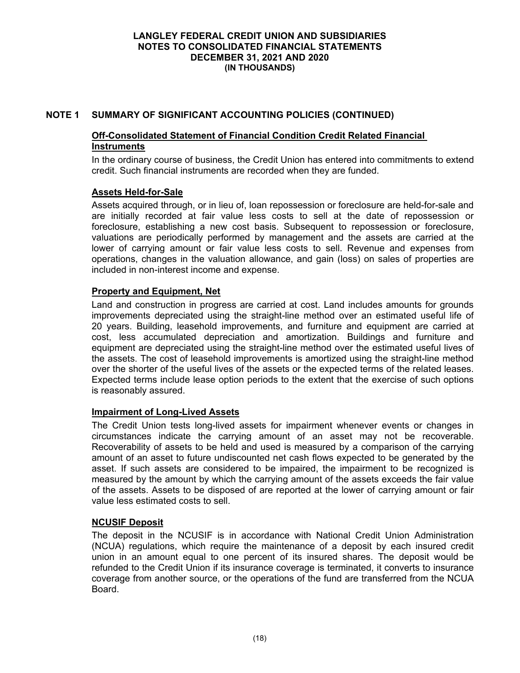# **NOTE 1 SUMMARY OF SIGNIFICANT ACCOUNTING POLICIES (CONTINUED)**

# **Off-Consolidated Statement of Financial Condition Credit Related Financial Instruments**

In the ordinary course of business, the Credit Union has entered into commitments to extend credit. Such financial instruments are recorded when they are funded.

# **Assets Held-for-Sale**

Assets acquired through, or in lieu of, loan repossession or foreclosure are held-for-sale and are initially recorded at fair value less costs to sell at the date of repossession or foreclosure, establishing a new cost basis. Subsequent to repossession or foreclosure, valuations are periodically performed by management and the assets are carried at the lower of carrying amount or fair value less costs to sell. Revenue and expenses from operations, changes in the valuation allowance, and gain (loss) on sales of properties are included in non-interest income and expense.

# **Property and Equipment, Net**

Land and construction in progress are carried at cost. Land includes amounts for grounds improvements depreciated using the straight-line method over an estimated useful life of 20 years. Building, leasehold improvements, and furniture and equipment are carried at cost, less accumulated depreciation and amortization. Buildings and furniture and equipment are depreciated using the straight-line method over the estimated useful lives of the assets. The cost of leasehold improvements is amortized using the straight-line method over the shorter of the useful lives of the assets or the expected terms of the related leases. Expected terms include lease option periods to the extent that the exercise of such options is reasonably assured.

# **Impairment of Long-Lived Assets**

The Credit Union tests long-lived assets for impairment whenever events or changes in circumstances indicate the carrying amount of an asset may not be recoverable. Recoverability of assets to be held and used is measured by a comparison of the carrying amount of an asset to future undiscounted net cash flows expected to be generated by the asset. If such assets are considered to be impaired, the impairment to be recognized is measured by the amount by which the carrying amount of the assets exceeds the fair value of the assets. Assets to be disposed of are reported at the lower of carrying amount or fair value less estimated costs to sell.

# **NCUSIF Deposit**

The deposit in the NCUSIF is in accordance with National Credit Union Administration (NCUA) regulations, which require the maintenance of a deposit by each insured credit union in an amount equal to one percent of its insured shares. The deposit would be refunded to the Credit Union if its insurance coverage is terminated, it converts to insurance coverage from another source, or the operations of the fund are transferred from the NCUA Board.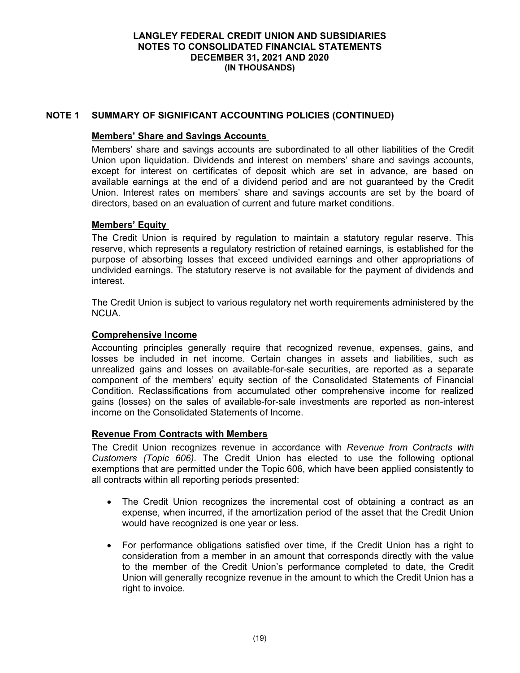# **NOTE 1 SUMMARY OF SIGNIFICANT ACCOUNTING POLICIES (CONTINUED)**

## **Members' Share and Savings Accounts**

Members' share and savings accounts are subordinated to all other liabilities of the Credit Union upon liquidation. Dividends and interest on members' share and savings accounts, except for interest on certificates of deposit which are set in advance, are based on available earnings at the end of a dividend period and are not guaranteed by the Credit Union. Interest rates on members' share and savings accounts are set by the board of directors, based on an evaluation of current and future market conditions.

## **Members' Equity**

The Credit Union is required by regulation to maintain a statutory regular reserve. This reserve, which represents a regulatory restriction of retained earnings, is established for the purpose of absorbing losses that exceed undivided earnings and other appropriations of undivided earnings. The statutory reserve is not available for the payment of dividends and interest.

The Credit Union is subject to various regulatory net worth requirements administered by the NCUA.

## **Comprehensive Income**

Accounting principles generally require that recognized revenue, expenses, gains, and losses be included in net income. Certain changes in assets and liabilities, such as unrealized gains and losses on available-for-sale securities, are reported as a separate component of the members' equity section of the Consolidated Statements of Financial Condition. Reclassifications from accumulated other comprehensive income for realized gains (losses) on the sales of available-for-sale investments are reported as non-interest income on the Consolidated Statements of Income.

# **Revenue From Contracts with Members**

The Credit Union recognizes revenue in accordance with *Revenue from Contracts with Customers (Topic 606).* The Credit Union has elected to use the following optional exemptions that are permitted under the Topic 606, which have been applied consistently to all contracts within all reporting periods presented:

- The Credit Union recognizes the incremental cost of obtaining a contract as an expense, when incurred, if the amortization period of the asset that the Credit Union would have recognized is one year or less.
- For performance obligations satisfied over time, if the Credit Union has a right to consideration from a member in an amount that corresponds directly with the value to the member of the Credit Union's performance completed to date, the Credit Union will generally recognize revenue in the amount to which the Credit Union has a right to invoice.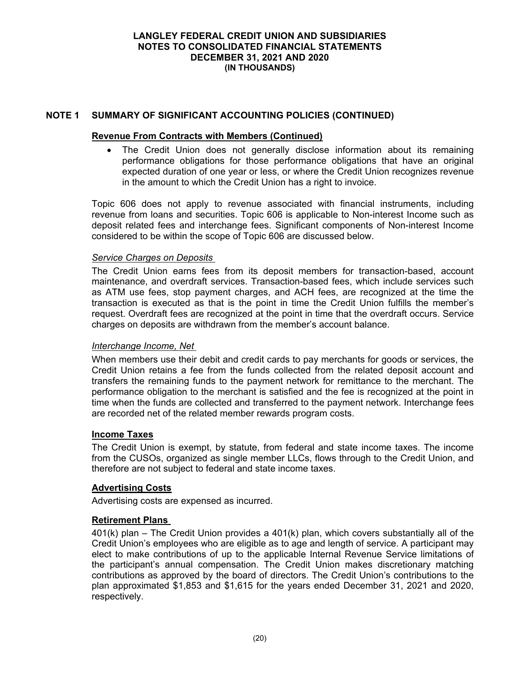# **NOTE 1 SUMMARY OF SIGNIFICANT ACCOUNTING POLICIES (CONTINUED)**

## **Revenue From Contracts with Members (Continued)**

• The Credit Union does not generally disclose information about its remaining performance obligations for those performance obligations that have an original expected duration of one year or less, or where the Credit Union recognizes revenue in the amount to which the Credit Union has a right to invoice.

Topic 606 does not apply to revenue associated with financial instruments, including revenue from loans and securities. Topic 606 is applicable to Non-interest Income such as deposit related fees and interchange fees. Significant components of Non-interest Income considered to be within the scope of Topic 606 are discussed below.

## *Service Charges on Deposits*

The Credit Union earns fees from its deposit members for transaction-based, account maintenance, and overdraft services. Transaction-based fees, which include services such as ATM use fees, stop payment charges, and ACH fees, are recognized at the time the transaction is executed as that is the point in time the Credit Union fulfills the member's request. Overdraft fees are recognized at the point in time that the overdraft occurs. Service charges on deposits are withdrawn from the member's account balance.

# *Interchange Income, Net*

When members use their debit and credit cards to pay merchants for goods or services, the Credit Union retains a fee from the funds collected from the related deposit account and transfers the remaining funds to the payment network for remittance to the merchant. The performance obligation to the merchant is satisfied and the fee is recognized at the point in time when the funds are collected and transferred to the payment network. Interchange fees are recorded net of the related member rewards program costs.

#### **Income Taxes**

The Credit Union is exempt, by statute, from federal and state income taxes. The income from the CUSOs, organized as single member LLCs, flows through to the Credit Union, and therefore are not subject to federal and state income taxes.

# **Advertising Costs**

Advertising costs are expensed as incurred.

#### **Retirement Plans**

401(k) plan – The Credit Union provides a 401(k) plan, which covers substantially all of the Credit Union's employees who are eligible as to age and length of service. A participant may elect to make contributions of up to the applicable Internal Revenue Service limitations of the participant's annual compensation. The Credit Union makes discretionary matching contributions as approved by the board of directors. The Credit Union's contributions to the plan approximated \$1,853 and \$1,615 for the years ended December 31, 2021 and 2020, respectively.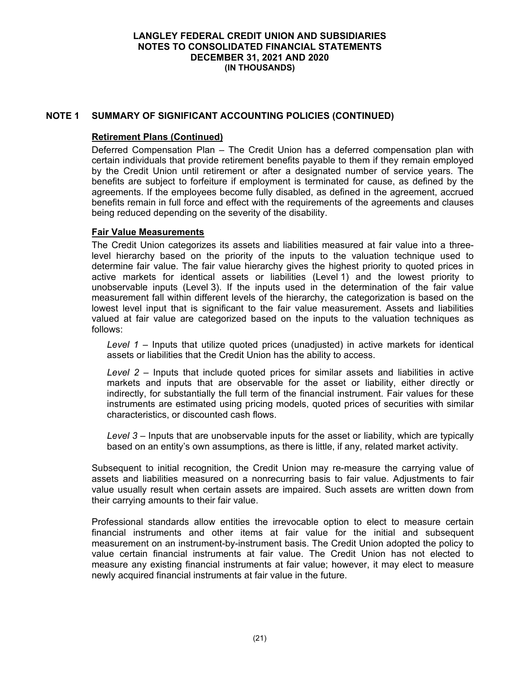# **NOTE 1 SUMMARY OF SIGNIFICANT ACCOUNTING POLICIES (CONTINUED)**

## **Retirement Plans (Continued)**

Deferred Compensation Plan – The Credit Union has a deferred compensation plan with certain individuals that provide retirement benefits payable to them if they remain employed by the Credit Union until retirement or after a designated number of service years. The benefits are subject to forfeiture if employment is terminated for cause, as defined by the agreements. If the employees become fully disabled, as defined in the agreement, accrued benefits remain in full force and effect with the requirements of the agreements and clauses being reduced depending on the severity of the disability.

## **Fair Value Measurements**

The Credit Union categorizes its assets and liabilities measured at fair value into a threelevel hierarchy based on the priority of the inputs to the valuation technique used to determine fair value. The fair value hierarchy gives the highest priority to quoted prices in active markets for identical assets or liabilities (Level 1) and the lowest priority to unobservable inputs (Level 3). If the inputs used in the determination of the fair value measurement fall within different levels of the hierarchy, the categorization is based on the lowest level input that is significant to the fair value measurement. Assets and liabilities valued at fair value are categorized based on the inputs to the valuation techniques as follows:

*Level 1* – Inputs that utilize quoted prices (unadjusted) in active markets for identical assets or liabilities that the Credit Union has the ability to access.

*Level 2* – Inputs that include quoted prices for similar assets and liabilities in active markets and inputs that are observable for the asset or liability, either directly or indirectly, for substantially the full term of the financial instrument. Fair values for these instruments are estimated using pricing models, quoted prices of securities with similar characteristics, or discounted cash flows.

*Level 3* – Inputs that are unobservable inputs for the asset or liability, which are typically based on an entity's own assumptions, as there is little, if any, related market activity.

Subsequent to initial recognition, the Credit Union may re-measure the carrying value of assets and liabilities measured on a nonrecurring basis to fair value. Adjustments to fair value usually result when certain assets are impaired. Such assets are written down from their carrying amounts to their fair value.

Professional standards allow entities the irrevocable option to elect to measure certain financial instruments and other items at fair value for the initial and subsequent measurement on an instrument-by-instrument basis. The Credit Union adopted the policy to value certain financial instruments at fair value. The Credit Union has not elected to measure any existing financial instruments at fair value; however, it may elect to measure newly acquired financial instruments at fair value in the future.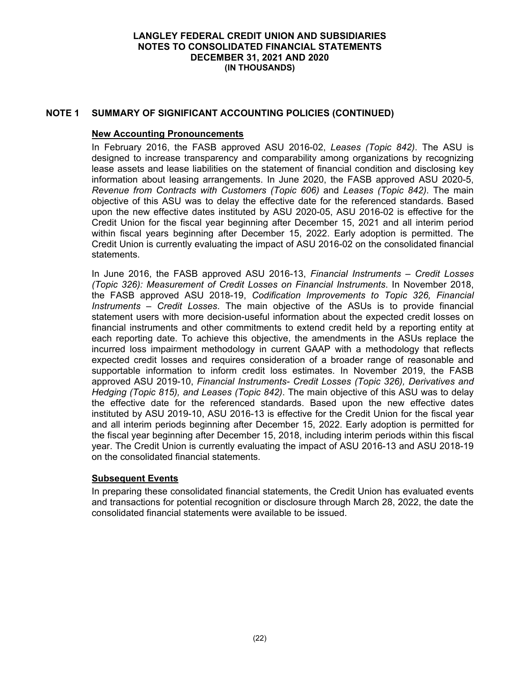# **NOTE 1 SUMMARY OF SIGNIFICANT ACCOUNTING POLICIES (CONTINUED)**

### **New Accounting Pronouncements**

In February 2016, the FASB approved ASU 2016-02, *Leases (Topic 842)*. The ASU is designed to increase transparency and comparability among organizations by recognizing lease assets and lease liabilities on the statement of financial condition and disclosing key information about leasing arrangements. In June 2020, the FASB approved ASU 2020-5, *Revenue from Contracts with Customers (Topic 606)* and *Leases (Topic 842)*. The main objective of this ASU was to delay the effective date for the referenced standards. Based upon the new effective dates instituted by ASU 2020-05, ASU 2016-02 is effective for the Credit Union for the fiscal year beginning after December 15, 2021 and all interim period within fiscal years beginning after December 15, 2022. Early adoption is permitted. The Credit Union is currently evaluating the impact of ASU 2016-02 on the consolidated financial statements.

In June 2016, the FASB approved ASU 2016-13, *Financial Instruments – Credit Losses (Topic 326): Measurement of Credit Losses on Financial Instruments*. In November 2018, the FASB approved ASU 2018-19, *Codification Improvements to Topic 326, Financial Instruments – Credit Losses*. The main objective of the ASUs is to provide financial statement users with more decision-useful information about the expected credit losses on financial instruments and other commitments to extend credit held by a reporting entity at each reporting date. To achieve this objective, the amendments in the ASUs replace the incurred loss impairment methodology in current GAAP with a methodology that reflects expected credit losses and requires consideration of a broader range of reasonable and supportable information to inform credit loss estimates. In November 2019, the FASB approved ASU 2019-10, *Financial Instruments- Credit Losses (Topic 326), Derivatives and Hedging (Topic 815), and Leases (Topic 842)*. The main objective of this ASU was to delay the effective date for the referenced standards. Based upon the new effective dates instituted by ASU 2019-10, ASU 2016-13 is effective for the Credit Union for the fiscal year and all interim periods beginning after December 15, 2022. Early adoption is permitted for the fiscal year beginning after December 15, 2018, including interim periods within this fiscal year. The Credit Union is currently evaluating the impact of ASU 2016-13 and ASU 2018-19 on the consolidated financial statements.

#### **Subsequent Events**

In preparing these consolidated financial statements, the Credit Union has evaluated events and transactions for potential recognition or disclosure through March 28, 2022, the date the consolidated financial statements were available to be issued.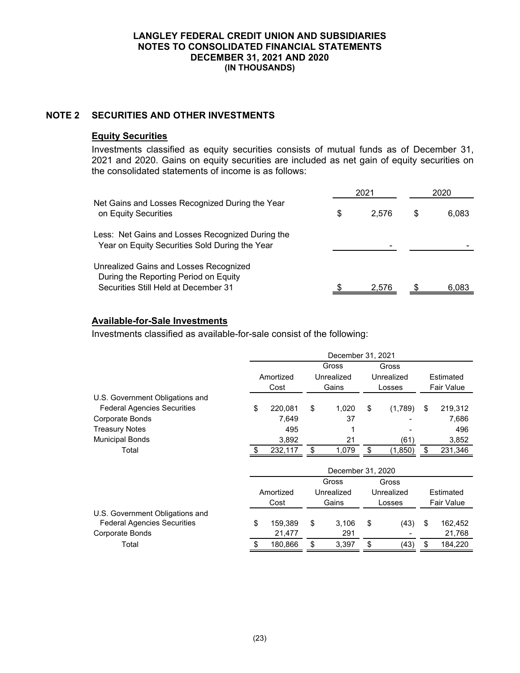# **NOTE 2 SECURITIES AND OTHER INVESTMENTS**

## **Equity Securities**

Investments classified as equity securities consists of mutual funds as of December 31, 2021 and 2020. Gains on equity securities are included as net gain of equity securities on the consolidated statements of income is as follows:

|                                                                                                                         | 2021        |   | 2020  |
|-------------------------------------------------------------------------------------------------------------------------|-------------|---|-------|
| Net Gains and Losses Recognized During the Year<br>on Equity Securities                                                 | \$<br>2.576 | S | 6,083 |
| Less: Net Gains and Losses Recognized During the<br>Year on Equity Securities Sold During the Year                      | -           |   |       |
| Unrealized Gains and Losses Recognized<br>During the Reporting Period on Equity<br>Securities Still Held at December 31 | 2.576       |   | 6,083 |

#### **Available-for-Sale Investments**

Investments classified as available-for-sale consist of the following:

|                                    | December 31, 2021 |           |    |                   |            |            |    |                   |  |
|------------------------------------|-------------------|-----------|----|-------------------|------------|------------|----|-------------------|--|
|                                    |                   |           |    | Gross             |            | Gross      |    |                   |  |
|                                    |                   | Amortized |    | Unrealized        |            | Unrealized |    | Estimated         |  |
|                                    |                   | Cost      |    | Gains             |            | Losses     |    | <b>Fair Value</b> |  |
| U.S. Government Obligations and    |                   |           |    |                   |            |            |    |                   |  |
| <b>Federal Agencies Securities</b> | \$                | 220,081   | \$ | 1,020             | \$         | (1,789)    | \$ | 219,312           |  |
| Corporate Bonds                    |                   | 7,649     |    | 37                |            |            |    | 7,686             |  |
| Treasury Notes                     |                   | 495       |    |                   |            |            |    | 496               |  |
| <b>Municipal Bonds</b>             |                   | 3,892     |    | 21                |            | (61)       |    | 3,852             |  |
| Total                              | S                 | 232,117   | \$ | 1,079             | \$         | (1,850)    | S  | 231,346           |  |
|                                    |                   |           |    |                   |            |            |    |                   |  |
|                                    |                   |           |    | December 31, 2020 |            |            |    |                   |  |
|                                    |                   |           |    | Gross             |            | Gross      |    |                   |  |
|                                    |                   | Amortized |    | Unrealized        | Unrealized |            |    | Estimated         |  |
|                                    | Cost              |           |    | Gains             |            | Losses     |    | <b>Fair Value</b> |  |
| U.S. Government Obligations and    |                   |           |    |                   |            |            |    |                   |  |
| <b>Federal Agencies Securities</b> | \$                | 159,389   | \$ | 3,106             | \$         | (43)       | \$ | 162,452           |  |
| Corporate Bonds                    |                   | 21,477    |    | 291               |            |            |    | 21,768            |  |
| Total                              | \$                | 180,866   | \$ | 3,397             | \$         | (43)       | \$ | 184,220           |  |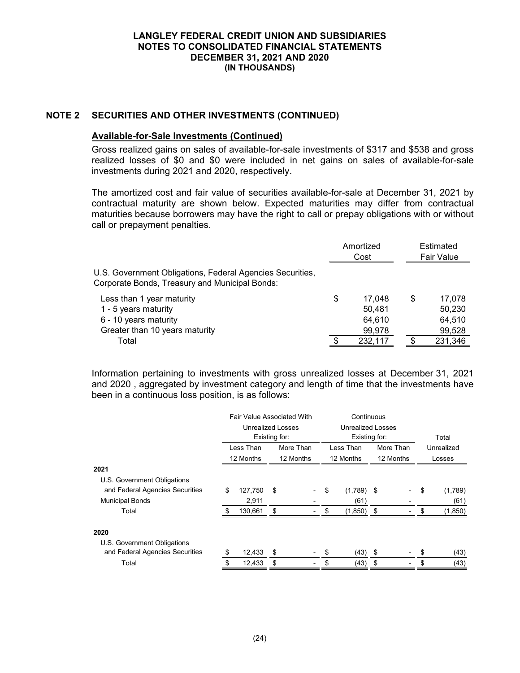## **NOTE 2 SECURITIES AND OTHER INVESTMENTS (CONTINUED)**

### **Available-for-Sale Investments (Continued)**

Gross realized gains on sales of available-for-sale investments of \$317 and \$538 and gross realized losses of \$0 and \$0 were included in net gains on sales of available-for-sale investments during 2021 and 2020, respectively.

The amortized cost and fair value of securities available-for-sale at December 31, 2021 by contractual maturity are shown below. Expected maturities may differ from contractual maturities because borrowers may have the right to call or prepay obligations with or without call or prepayment penalties.

|                                                                                                             | Amortized<br>Cost      |     | Estimated<br>Fair Value |  |  |
|-------------------------------------------------------------------------------------------------------------|------------------------|-----|-------------------------|--|--|
| U.S. Government Obligations, Federal Agencies Securities,<br>Corporate Bonds, Treasury and Municipal Bonds: |                        |     |                         |  |  |
| Less than 1 year maturity<br>1 - 5 years maturity                                                           | \$<br>17.048<br>50.481 | \$. | 17.078<br>50,230        |  |  |
| 6 - 10 years maturity                                                                                       | 64.610                 |     | 64.510                  |  |  |
| Greater than 10 years maturity                                                                              | 99,978                 |     | 99,528                  |  |  |
| Total                                                                                                       | 232,117                |     | 231,346                 |  |  |

Information pertaining to investments with gross unrealized losses at December 31, 2021 and 2020 , aggregated by investment category and length of time that the investments have been in a continuous loss position, is as follows:

|                                 | <b>Fair Value Associated With</b> |                          |               |           | Continuous               |               |     |                          |       |            |  |        |
|---------------------------------|-----------------------------------|--------------------------|---------------|-----------|--------------------------|---------------|-----|--------------------------|-------|------------|--|--------|
|                                 |                                   | <b>Unrealized Losses</b> |               |           | <b>Unrealized Losses</b> |               |     |                          |       |            |  |        |
|                                 |                                   |                          | Existing for: |           |                          | Existing for: |     |                          | Total |            |  |        |
|                                 |                                   | Less Than                |               | More Than |                          | Less Than     |     | More Than                |       | Unrealized |  |        |
|                                 |                                   | 12 Months                | 12 Months     |           |                          |               |     | 12 Months                |       | 12 Months  |  | Losses |
| 2021                            |                                   |                          |               |           |                          |               |     |                          |       |            |  |        |
| U.S. Government Obligations     |                                   |                          |               |           |                          |               |     |                          |       |            |  |        |
| and Federal Agencies Securities | \$                                | 127.750                  | \$            |           | \$                       | $(1,789)$ \$  |     | $\overline{\phantom{0}}$ | \$    | (1,789)    |  |        |
| <b>Municipal Bonds</b>          |                                   | 2,911                    |               |           |                          | (61)          |     |                          |       | (61)       |  |        |
| Total                           |                                   | 130,661                  | \$            |           |                          | (1, 850)      | \$  |                          |       | (1, 850)   |  |        |
| 2020                            |                                   |                          |               |           |                          |               |     |                          |       |            |  |        |
| U.S. Government Obligations     |                                   |                          |               |           |                          |               |     |                          |       |            |  |        |
| and Federal Agencies Securities | \$                                | 12,433                   | - \$          |           | S                        | $(43)$ \$     |     |                          | \$    | (43)       |  |        |
| Total                           | \$                                | 12,433                   | \$            |           | \$                       | (43)          | -\$ |                          | \$    | (43)       |  |        |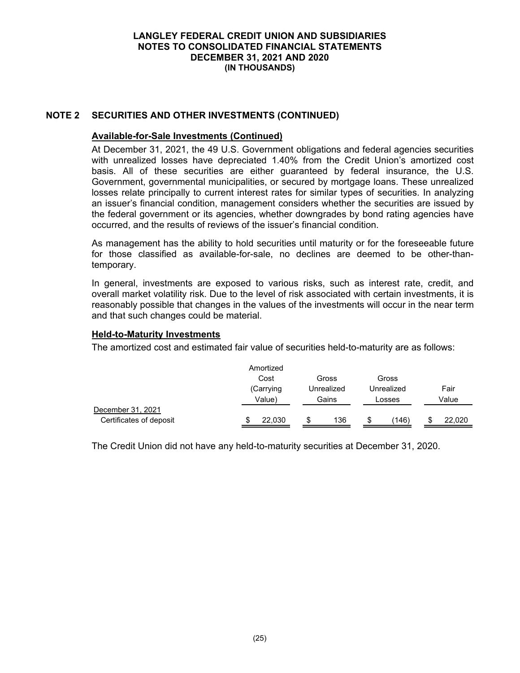# **NOTE 2 SECURITIES AND OTHER INVESTMENTS (CONTINUED)**

## **Available-for-Sale Investments (Continued)**

At December 31, 2021, the 49 U.S. Government obligations and federal agencies securities with unrealized losses have depreciated 1.40% from the Credit Union's amortized cost basis. All of these securities are either guaranteed by federal insurance, the U.S. Government, governmental municipalities, or secured by mortgage loans. These unrealized losses relate principally to current interest rates for similar types of securities. In analyzing an issuer's financial condition, management considers whether the securities are issued by the federal government or its agencies, whether downgrades by bond rating agencies have occurred, and the results of reviews of the issuer's financial condition.

As management has the ability to hold securities until maturity or for the foreseeable future for those classified as available-for-sale, no declines are deemed to be other-thantemporary.

In general, investments are exposed to various risks, such as interest rate, credit, and overall market volatility risk. Due to the level of risk associated with certain investments, it is reasonably possible that changes in the values of the investments will occur in the near term and that such changes could be material.

## **Held-to-Maturity Investments**

The amortized cost and estimated fair value of securities held-to-maturity are as follows:

| Cost<br>Gross<br>(Carrying<br>Unrealized<br>Value)<br>Gains |        |           |     |            |       |                 |        |
|-------------------------------------------------------------|--------|-----------|-----|------------|-------|-----------------|--------|
|                                                             |        |           |     | Unrealized |       |                 | Fair   |
|                                                             |        |           |     | Value      |       |                 |        |
|                                                             |        |           |     |            |       |                 |        |
|                                                             | 22,030 | S         | 136 | \$         | (146) |                 | 22,020 |
|                                                             |        | Amortized |     |            |       | Gross<br>Losses |        |

The Credit Union did not have any held-to-maturity securities at December 31, 2020.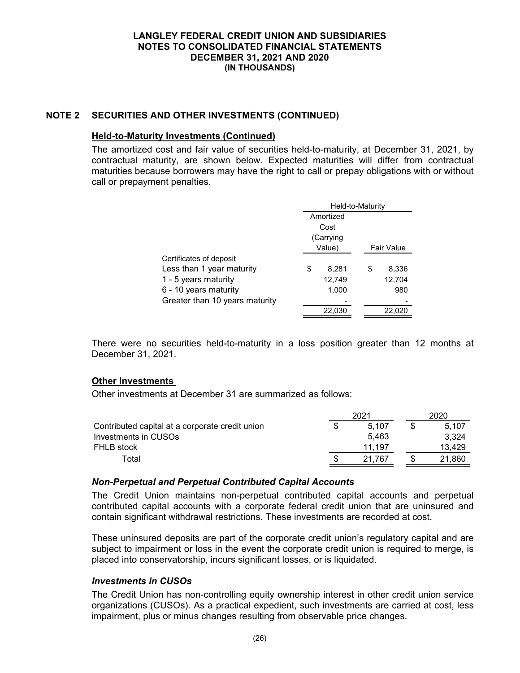# **NOTE 2 SECURITIES AND OTHER INVESTMENTS (CONTINUED)**

## **Held-to-Maturity Investments (Continued)**

The amortized cost and fair value of securities held-to-maturity, at December 31, 2021, by contractual maturity, are shown below. Expected maturities will differ from contractual maturities because borrowers may have the right to call or prepay obligations with or without call or prepayment penalties.

|                                |           | Held-to-Maturity |   |            |  |  |  |  |
|--------------------------------|-----------|------------------|---|------------|--|--|--|--|
|                                |           | Amortized        |   |            |  |  |  |  |
|                                | Cost      |                  |   |            |  |  |  |  |
|                                | (Carrying |                  |   |            |  |  |  |  |
|                                |           | Value)           |   | Fair Value |  |  |  |  |
| Certificates of deposit        |           |                  |   |            |  |  |  |  |
| Less than 1 year maturity      | \$        | 8,281            | S | 8,336      |  |  |  |  |
| 1 - 5 years maturity           |           | 12,749           |   | 12,704     |  |  |  |  |
| 6 - 10 years maturity          |           | 1,000            |   | 980        |  |  |  |  |
| Greater than 10 years maturity |           |                  |   |            |  |  |  |  |
|                                |           | 22,030           |   | 22,020     |  |  |  |  |

There were no securities held-to-maturity in a loss position greater than 12 months at December 31, 2021.

# **Other Investments**

Other investments at December 31 are summarized as follows:

|                                                 |   | 2021   | 2020   |
|-------------------------------------------------|---|--------|--------|
| Contributed capital at a corporate credit union | S | 5.107  | 5.107  |
| Investments in CUSOs                            |   | 5.463  | 3.324  |
| <b>FHLB</b> stock                               |   | 11.197 | 13.429 |
| Total                                           | S | 21.767 | 21.860 |

# *Non-Perpetual and Perpetual Contributed Capital Accounts*

The Credit Union maintains non-perpetual contributed capital accounts and perpetual contributed capital accounts with a corporate federal credit union that are uninsured and contain significant withdrawal restrictions. These investments are recorded at cost.

These uninsured deposits are part of the corporate credit union's regulatory capital and are subject to impairment or loss in the event the corporate credit union is required to merge, is placed into conservatorship, incurs significant losses, or is liquidated.

# *Investments in CUSOs*

The Credit Union has non-controlling equity ownership interest in other credit union service organizations (CUSOs). As a practical expedient, such investments are carried at cost, less impairment, plus or minus changes resulting from observable price changes.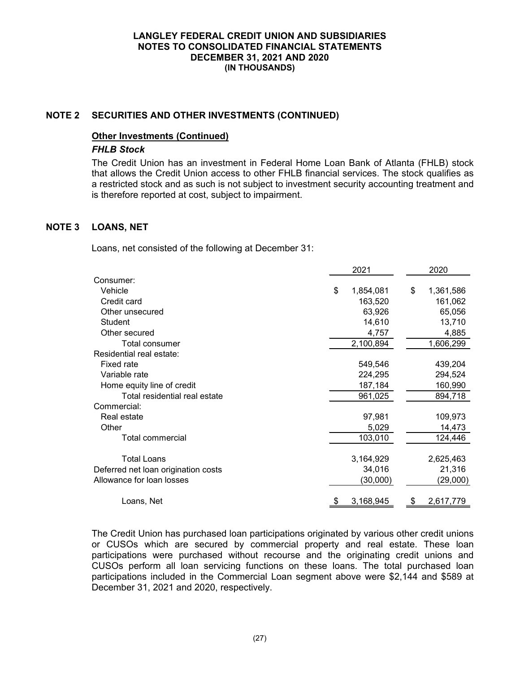# **NOTE 2 SECURITIES AND OTHER INVESTMENTS (CONTINUED)**

## **Other Investments (Continued)**

## *FHLB Stock*

The Credit Union has an investment in Federal Home Loan Bank of Atlanta (FHLB) stock that allows the Credit Union access to other FHLB financial services. The stock qualifies as a restricted stock and as such is not subject to investment security accounting treatment and is therefore reported at cost, subject to impairment.

# **NOTE 3 LOANS, NET**

Loans, net consisted of the following at December 31:

|                                     | 2021            | 2020            |
|-------------------------------------|-----------------|-----------------|
| Consumer:                           |                 |                 |
| Vehicle                             | \$<br>1,854,081 | \$<br>1,361,586 |
| Credit card                         | 163,520         | 161,062         |
| Other unsecured                     | 63,926          | 65,056          |
| Student                             | 14,610          | 13,710          |
| Other secured                       | 4,757           | 4,885           |
| Total consumer                      | 2,100,894       | 1,606,299       |
| Residential real estate:            |                 |                 |
| <b>Fixed rate</b>                   | 549,546         | 439,204         |
| Variable rate                       | 224,295         | 294,524         |
| Home equity line of credit          | 187,184         | 160,990         |
| Total residential real estate       | 961,025         | 894,718         |
| Commercial:                         |                 |                 |
| Real estate                         | 97,981          | 109,973         |
| Other                               | 5,029           | 14,473          |
| Total commercial                    | 103,010         | 124,446         |
| <b>Total Loans</b>                  | 3,164,929       | 2,625,463       |
| Deferred net loan origination costs | 34,016          | 21,316          |
| Allowance for loan losses           | (30,000)        | (29,000)        |
| Loans, Net                          | 3,168,945       | 2,617,779       |

The Credit Union has purchased loan participations originated by various other credit unions or CUSOs which are secured by commercial property and real estate. These loan participations were purchased without recourse and the originating credit unions and CUSOs perform all loan servicing functions on these loans. The total purchased loan participations included in the Commercial Loan segment above were \$2,144 and \$589 at December 31, 2021 and 2020, respectively.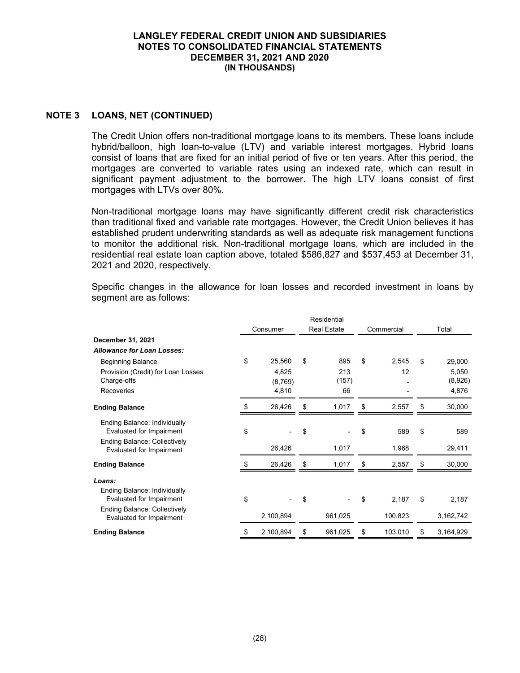# **NOTE 3 LOANS, NET (CONTINUED)**

The Credit Union offers non-traditional mortgage loans to its members. These loans include hybrid/balloon, high loan-to-value (LTV) and variable interest mortgages. Hybrid loans consist of loans that are fixed for an initial period of five or ten years. After this period, the mortgages are converted to variable rates using an indexed rate, which can result in significant payment adjustment to the borrower. The high LTV loans consist of first mortgages with LTVs over 80%.

Non-traditional mortgage loans may have significantly different credit risk characteristics than traditional fixed and variable rate mortgages. However, the Credit Union believes it has established prudent underwriting standards as well as adequate risk management functions to monitor the additional risk. Non-traditional mortgage loans, which are included in the residential real estate loan caption above, totaled \$586,827 and \$537,453 at December 31, 2021 and 2020, respectively.

Specific changes in the allowance for loan losses and recorded investment in loans by segment are as follows:

|                                                                 |    |           | Residential        |               |       |           |
|-----------------------------------------------------------------|----|-----------|--------------------|---------------|-------|-----------|
|                                                                 |    | Consumer  | <b>Real Estate</b> | Commercial    | Total |           |
| December 31, 2021                                               |    |           |                    |               |       |           |
| <b>Allowance for Loan Losses:</b>                               |    |           |                    |               |       |           |
| <b>Beginning Balance</b>                                        | \$ | 25,560    | \$<br>895          | \$<br>2,545   | \$    | 29,000    |
| Provision (Credit) for Loan Losses                              |    | 4,825     | 213                | 12            |       | 5,050     |
| Charge-offs                                                     |    | (8,769)   | (157)              |               |       | (8,926)   |
| Recoveries                                                      |    | 4,810     | 66                 |               |       | 4,876     |
| <b>Ending Balance</b>                                           | \$ | 26,426    | \$<br>1,017        | \$<br>2,557   |       | 30,000    |
| Ending Balance: Individually<br>Evaluated for Impairment        | \$ |           | \$                 | \$<br>589     | \$    | 589       |
| <b>Ending Balance: Collectively</b><br>Evaluated for Impairment |    | 26,426    | 1,017              | 1,968         |       | 29,411    |
| <b>Ending Balance</b>                                           | \$ | 26,426    | \$<br>1,017        | \$<br>2,557   | \$    | 30,000    |
| Loans:<br>Ending Balance: Individually                          |    |           |                    |               |       |           |
| Evaluated for Impairment                                        | \$ |           | \$                 | \$<br>2,187   | \$    | 2,187     |
| <b>Ending Balance: Collectively</b><br>Evaluated for Impairment |    | 2,100,894 | 961,025            | 100,823       |       | 3,162,742 |
| <b>Ending Balance</b>                                           |    | 2,100,894 | \$<br>961,025      | \$<br>103,010 | \$    | 3,164,929 |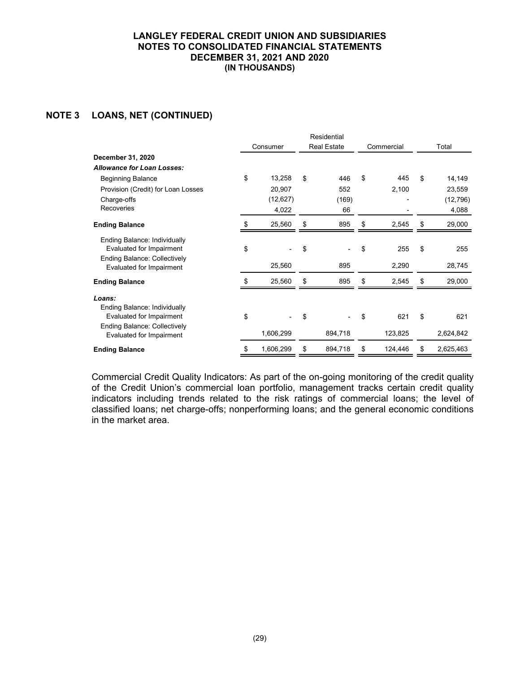# **NOTE 3 LOANS, NET (CONTINUED)**

|                                                                                                           |          |           | Residential        |               |    |           |
|-----------------------------------------------------------------------------------------------------------|----------|-----------|--------------------|---------------|----|-----------|
|                                                                                                           | Consumer |           | <b>Real Estate</b> | Commercial    |    | Total     |
| December 31, 2020                                                                                         |          |           |                    |               |    |           |
| <b>Allowance for Loan Losses:</b>                                                                         |          |           |                    |               |    |           |
| <b>Beginning Balance</b>                                                                                  | \$       | 13,258    | \$<br>446          | \$<br>445     | \$ | 14,149    |
| Provision (Credit) for Loan Losses                                                                        |          | 20,907    | 552                | 2,100         |    | 23,559    |
| Charge-offs                                                                                               |          | (12, 627) | (169)              |               |    | (12, 796) |
| <b>Recoveries</b>                                                                                         |          | 4,022     | 66                 |               |    | 4,088     |
| <b>Ending Balance</b>                                                                                     |          | 25,560    | \$<br>895          | \$<br>2,545   |    | 29,000    |
| Ending Balance: Individually<br>Evaluated for Impairment                                                  | \$       |           | \$                 | \$<br>255     | \$ | 255       |
| <b>Ending Balance: Collectively</b><br>Evaluated for Impairment                                           |          | 25,560    | 895                | 2,290         |    | 28,745    |
| <b>Ending Balance</b>                                                                                     | \$       | 25,560    | \$<br>895          | \$<br>2,545   | \$ | 29,000    |
| Loans:<br>Ending Balance: Individually<br>Evaluated for Impairment<br><b>Ending Balance: Collectively</b> | \$       |           | \$                 | \$<br>621     | \$ | 621       |
| Evaluated for Impairment                                                                                  |          | 1,606,299 | 894,718            | 123,825       |    | 2,624,842 |
| <b>Ending Balance</b>                                                                                     |          | 1,606,299 | \$<br>894,718      | \$<br>124,446 |    | 2,625,463 |

Commercial Credit Quality Indicators: As part of the on-going monitoring of the credit quality of the Credit Union's commercial loan portfolio, management tracks certain credit quality indicators including trends related to the risk ratings of commercial loans; the level of classified loans; net charge-offs; nonperforming loans; and the general economic conditions in the market area.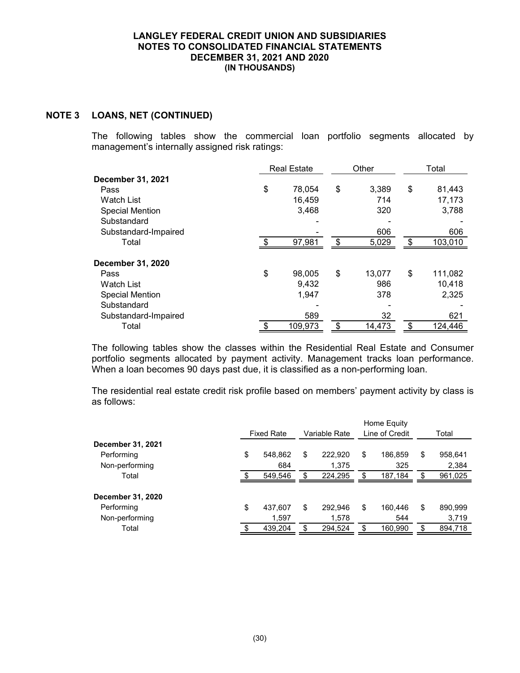## **NOTE 3 LOANS, NET (CONTINUED)**

The following tables show the commercial loan portfolio segments allocated by management's internally assigned risk ratings:

|                          |      | <b>Real Estate</b> | Other        | Total         |  |  |
|--------------------------|------|--------------------|--------------|---------------|--|--|
| <b>December 31, 2021</b> |      |                    |              |               |  |  |
| Pass                     | \$   | 78,054             | \$<br>3,389  | \$<br>81,443  |  |  |
| Watch List               |      | 16,459             | 714          | 17,173        |  |  |
| <b>Special Mention</b>   |      | 3,468              | 320          | 3,788         |  |  |
| Substandard              |      |                    |              |               |  |  |
| Substandard-Impaired     |      |                    | 606          | 606           |  |  |
| Total                    | -\$  | 97,981             | \$<br>5,029  | \$<br>103,010 |  |  |
| <b>December 31, 2020</b> |      |                    |              |               |  |  |
| Pass                     | \$   | 98,005             | \$<br>13,077 | \$<br>111,082 |  |  |
| <b>Watch List</b>        |      | 9,432              | 986          | 10,418        |  |  |
| <b>Special Mention</b>   |      | 1,947              | 378          | 2,325         |  |  |
| Substandard              |      |                    |              |               |  |  |
| Substandard-Impaired     |      | 589                | 32           | 621           |  |  |
| Total                    | - \$ | 109,973            | \$<br>14.473 | 124,446       |  |  |

The following tables show the classes within the Residential Real Estate and Consumer portfolio segments allocated by payment activity. Management tracks loan performance. When a loan becomes 90 days past due, it is classified as a non-performing loan.

The residential real estate credit risk profile based on members' payment activity by class is as follows:

|                   |                   |               |    | Home Equity    |               |
|-------------------|-------------------|---------------|----|----------------|---------------|
|                   | <b>Fixed Rate</b> | Variable Rate |    | Line of Credit | Total         |
| December 31, 2021 |                   |               |    |                |               |
| Performing        | \$<br>548,862     | \$<br>222.920 | \$ | 186.859        | \$<br>958.641 |
| Non-performing    | 684               | 1,375         |    | 325            | 2,384         |
| Total             | 549,546           | \$<br>224,295 |    | 187,184        | 961,025       |
| December 31, 2020 |                   |               |    |                |               |
| Performing        | \$<br>437,607     | \$<br>292.946 | \$ | 160.446        | \$<br>890.999 |
| Non-performing    | 1,597             | 1,578         |    | 544            | 3,719         |
| Total             | 439,204           | 294,524       |    | 160,990        | 894,718       |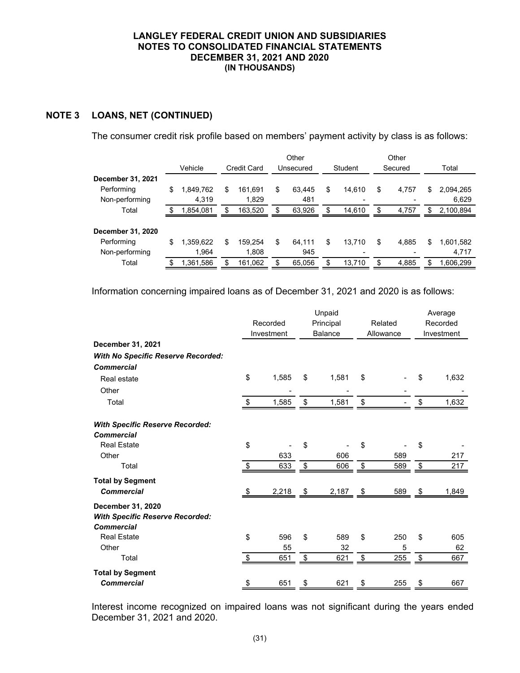# **NOTE 3 LOANS, NET (CONTINUED)**

The consumer credit risk profile based on members' payment activity by class is as follows:

|                   |    |           |               | Other        |         |        |         | Other |                 |
|-------------------|----|-----------|---------------|--------------|---------|--------|---------|-------|-----------------|
|                   |    | Vehicle   | Credit Card   | Unsecured    | Student |        | Secured |       | Total           |
| December 31, 2021 |    |           |               |              |         |        |         |       |                 |
| Performing        | \$ | 1,849,762 | \$<br>161.691 | \$<br>63,445 | \$      | 14,610 | \$      | 4,757 | \$<br>2,094,265 |
| Non-performing    |    | 4,319     | 1,829         | 481          |         |        |         |       | 6,629           |
| Total             |    | 1,854,081 | \$<br>163,520 | \$<br>63,926 | \$      | 14,610 | \$      | 4,757 | \$<br>2,100,894 |
|                   |    |           |               |              |         |        |         |       |                 |
| December 31, 2020 |    |           |               |              |         |        |         |       |                 |
| Performing        | \$ | 1,359,622 | \$<br>159.254 | \$<br>64,111 | \$      | 13,710 | \$      | 4,885 | \$<br>1,601,582 |
| Non-performing    |    | 1.964     | 1,808         | 945          |         |        |         |       | 4,717           |
| Total             | S  | 1,361,586 | \$<br>161,062 | \$<br>65,056 | \$      | 13,710 | \$      | 4,885 | \$<br>1,606,299 |

Information concerning impaired loans as of December 31, 2021 and 2020 is as follows:

|                                                                                  | Recorded<br>Investment | Unpaid<br>Principal<br><b>Balance</b> | Related<br>Allowance | Average<br>Recorded<br>Investment |       |
|----------------------------------------------------------------------------------|------------------------|---------------------------------------|----------------------|-----------------------------------|-------|
| December 31, 2021                                                                |                        |                                       |                      |                                   |       |
| <b>With No Specific Reserve Recorded:</b>                                        |                        |                                       |                      |                                   |       |
| <b>Commercial</b>                                                                |                        |                                       |                      |                                   |       |
| Real estate                                                                      | \$<br>1,585            | \$<br>1,581                           | \$                   | S                                 | 1,632 |
| Other                                                                            |                        |                                       |                      |                                   |       |
| Total                                                                            | \$<br>1,585            | \$<br>1,581                           | \$                   | \$                                | 1,632 |
| <b>With Specific Reserve Recorded:</b>                                           |                        |                                       |                      |                                   |       |
| <b>Commercial</b>                                                                |                        |                                       |                      |                                   |       |
| <b>Real Estate</b>                                                               | \$                     | \$                                    | \$                   | \$                                |       |
| Other                                                                            | 633                    | 606                                   | 589                  |                                   | 217   |
| Total                                                                            | \$<br>633              | \$<br>606                             | \$<br>589            | \$                                | 217   |
| <b>Total by Segment</b>                                                          |                        |                                       |                      |                                   |       |
| <b>Commercial</b>                                                                | \$<br>2,218            | \$<br>2,187                           | \$<br>589            | \$                                | 1,849 |
| December 31, 2020<br><b>With Specific Reserve Recorded:</b><br><b>Commercial</b> |                        |                                       |                      |                                   |       |
| <b>Real Estate</b>                                                               | \$<br>596              | \$<br>589                             | \$<br>250            | \$                                | 605   |
| Other                                                                            | 55                     | 32                                    | 5                    |                                   | 62    |
| Total                                                                            | \$<br>651              | \$<br>621                             | \$<br>255            | \$                                | 667   |
| <b>Total by Segment</b>                                                          |                        |                                       |                      |                                   |       |
| <b>Commercial</b>                                                                | \$<br>651              | \$<br>621                             | \$<br>255            | \$                                | 667   |

Interest income recognized on impaired loans was not significant during the years ended December 31, 2021 and 2020.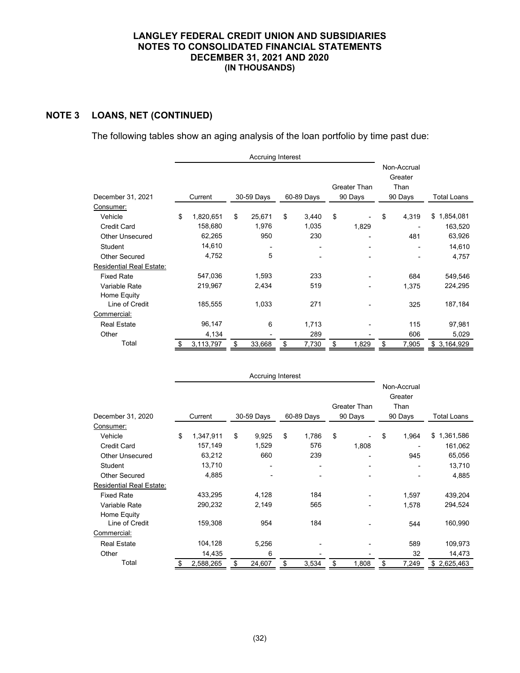# **NOTE 3 LOANS, NET (CONTINUED)**

The following tables show an aging analysis of the loan portfolio by time past due:

|                          |                 | Accruing Interest |             |                          |                        |                    |
|--------------------------|-----------------|-------------------|-------------|--------------------------|------------------------|--------------------|
|                          |                 |                   |             |                          | Non-Accrual<br>Greater |                    |
|                          |                 |                   |             | <b>Greater Than</b>      | Than                   |                    |
| December 31, 2021        | Current         | 30-59 Days        | 60-89 Days  | 90 Days                  | 90 Days                | <b>Total Loans</b> |
| Consumer:                |                 |                   |             |                          |                        |                    |
| Vehicle                  | \$<br>1,820,651 | \$<br>25,671      | \$<br>3,440 | \$                       | \$<br>4,319            | 1,854,081<br>\$    |
| <b>Credit Card</b>       | 158,680         | 1,976             | 1,035       | 1,829                    |                        | 163,520            |
| <b>Other Unsecured</b>   | 62,265          | 950               | 230         |                          | 481                    | 63,926             |
| Student                  | 14,610          |                   |             |                          |                        | 14,610             |
| <b>Other Secured</b>     | 4,752           | 5                 |             |                          |                        | 4,757              |
| Residential Real Estate: |                 |                   |             |                          |                        |                    |
| <b>Fixed Rate</b>        | 547,036         | 1,593             | 233         |                          | 684                    | 549,546            |
| Variable Rate            | 219,967         | 2,434             | 519         | $\overline{\phantom{0}}$ | 1,375                  | 224,295            |
| Home Equity              |                 |                   |             |                          |                        |                    |
| Line of Credit           | 185,555         | 1,033             | 271         |                          | 325                    | 187,184            |
| Commercial:              |                 |                   |             |                          |                        |                    |
| <b>Real Estate</b>       | 96,147          | 6                 | 1,713       |                          | 115                    | 97,981             |
| Other                    | 4,134           |                   | 289         |                          | 606                    | 5,029              |
| Total                    | \$<br>3,113,797 | \$<br>33,668      | \$<br>7,730 | \$<br>1,829              | \$<br>7,905            | \$3,164,929        |

|                          |                 | Accruing Interest |             |                         |                                           |                    |
|--------------------------|-----------------|-------------------|-------------|-------------------------|-------------------------------------------|--------------------|
| December 31, 2020        | Current         | 30-59 Days        | 60-89 Days  | Greater Than<br>90 Days | Non-Accrual<br>Greater<br>Than<br>90 Days | <b>Total Loans</b> |
|                          |                 |                   |             |                         |                                           |                    |
| Consumer:<br>Vehicle     | \$<br>1,347,911 | \$<br>9,925       | \$<br>1,786 | \$                      | \$<br>1,964                               | 1,361,586<br>\$    |
| <b>Credit Card</b>       | 157,149         | 1,529             | 576         | 1,808                   |                                           | 161,062            |
| Other Unsecured          | 63,212          | 660               | 239         |                         | 945                                       | 65,056             |
| <b>Student</b>           | 13,710          |                   |             |                         |                                           | 13,710             |
| <b>Other Secured</b>     | 4,885           |                   |             |                         |                                           | 4,885              |
| Residential Real Estate: |                 |                   |             |                         |                                           |                    |
| <b>Fixed Rate</b>        | 433,295         | 4,128             | 184         |                         | 1,597                                     | 439,204            |
| Variable Rate            | 290,232         | 2,149             | 565         | $\blacksquare$          | 1,578                                     | 294,524            |
| Home Equity              |                 |                   |             |                         |                                           |                    |
| Line of Credit           | 159,308         | 954               | 184         |                         | 544                                       | 160,990            |
| Commercial:              |                 |                   |             |                         |                                           |                    |
| <b>Real Estate</b>       | 104,128         | 5,256             |             |                         | 589                                       | 109,973            |
| Other                    | 14,435          | 6                 |             |                         | 32                                        | 14,473             |
| Total                    | \$<br>2,588,265 | \$<br>24,607      | \$<br>3,534 | \$<br>1,808             | \$<br>7,249                               | \$2,625,463        |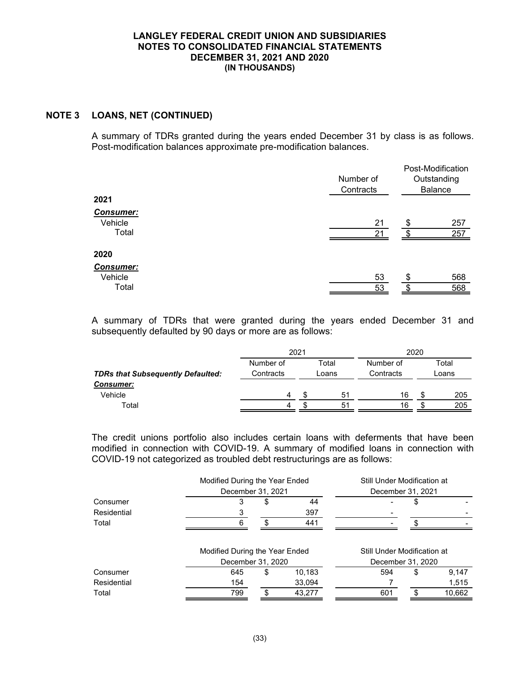## **NOTE 3 LOANS, NET (CONTINUED)**

A summary of TDRs granted during the years ended December 31 by class is as follows. Post-modification balances approximate pre-modification balances.

|                                      | Number of<br>Contracts | Post-Modification<br>Outstanding<br>Balance |            |  |
|--------------------------------------|------------------------|---------------------------------------------|------------|--|
| 2021                                 |                        |                                             |            |  |
| <b>Consumer:</b><br>Vehicle<br>Total | 21<br>21               | S.                                          | 257<br>257 |  |
| 2020                                 |                        |                                             |            |  |
| <b>Consumer:</b><br>Vehicle<br>Total | 53<br>53               | \$                                          | 568<br>568 |  |

A summary of TDRs that were granted during the years ended December 31 and subsequently defaulted by 90 days or more are as follows:

|                                          | 2021      |  | 2020               |           |  |       |
|------------------------------------------|-----------|--|--------------------|-----------|--|-------|
|                                          | Number of |  | Total              | Number of |  | Total |
| <b>TDRs that Subsequently Defaulted:</b> | Contracts |  | Contracts<br>Loans |           |  | Loans |
| <b>Consumer:</b>                         |           |  |                    |           |  |       |
| Vehicle                                  | 4         |  | 51                 | 16        |  | 205   |
| Total                                    |           |  | 51                 | 16        |  | 205   |

The credit unions portfolio also includes certain loans with deferments that have been modified in connection with COVID-19. A summary of modified loans in connection with COVID-19 not categorized as troubled debt restructurings are as follows:

|             | Modified During the Year Ended |  |     | Still Under Modification at |                   |  |  |  |  |
|-------------|--------------------------------|--|-----|-----------------------------|-------------------|--|--|--|--|
|             | December 31, 2021              |  |     |                             | December 31, 2021 |  |  |  |  |
| Consumer    |                                |  | 44  |                             |                   |  |  |  |  |
| Residential |                                |  | 397 |                             |                   |  |  |  |  |
| Total       |                                |  | 441 |                             |                   |  |  |  |  |
|             |                                |  |     |                             |                   |  |  |  |  |

|             | Modified During the Year Ended<br>December 31, 2020 |   |        | Still Under Modification at<br>December 31, 2020 |  |        |  |
|-------------|-----------------------------------------------------|---|--------|--------------------------------------------------|--|--------|--|
|             |                                                     |   |        |                                                  |  |        |  |
| Consumer    | 645                                                 |   | 10.183 | 594                                              |  | 9.147  |  |
| Residential | 154                                                 |   | 33.094 |                                                  |  | 1.515  |  |
| Total       | 799                                                 | S | 43.277 | 601                                              |  | 10,662 |  |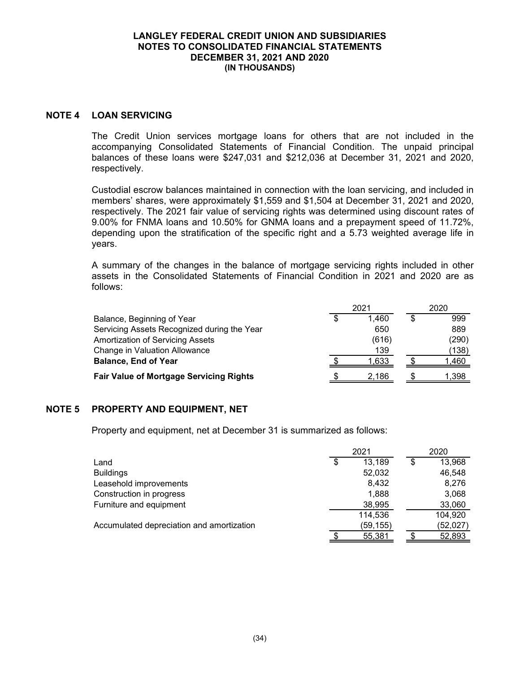## **NOTE 4 LOAN SERVICING**

The Credit Union services mortgage loans for others that are not included in the accompanying Consolidated Statements of Financial Condition. The unpaid principal balances of these loans were \$247,031 and \$212,036 at December 31, 2021 and 2020, respectively.

Custodial escrow balances maintained in connection with the loan servicing, and included in members' shares, were approximately \$1,559 and \$1,504 at December 31, 2021 and 2020, respectively. The 2021 fair value of servicing rights was determined using discount rates of 9.00% for FNMA loans and 10.50% for GNMA loans and a prepayment speed of 11.72%, depending upon the stratification of the specific right and a 5.73 weighted average life in years.

A summary of the changes in the balance of mortgage servicing rights included in other assets in the Consolidated Statements of Financial Condition in 2021 and 2020 are as follows:

|                                                | 2021 |       |  | 2020  |  |  |
|------------------------------------------------|------|-------|--|-------|--|--|
| Balance, Beginning of Year                     |      | 1.460 |  | 999   |  |  |
| Servicing Assets Recognized during the Year    |      | 650   |  | 889   |  |  |
| Amortization of Servicing Assets               |      | (616) |  | (290) |  |  |
| Change in Valuation Allowance                  |      | 139   |  | (138) |  |  |
| <b>Balance, End of Year</b>                    |      | 1.633 |  | 1,460 |  |  |
| <b>Fair Value of Mortgage Servicing Rights</b> |      | 2.186 |  | ∣.398 |  |  |

# **NOTE 5 PROPERTY AND EQUIPMENT, NET**

Property and equipment, net at December 31 is summarized as follows:

|                                           | 2021         | 2020     |
|-------------------------------------------|--------------|----------|
| Land                                      | \$<br>13,189 | 13,968   |
| <b>Buildings</b>                          | 52,032       | 46,548   |
| Leasehold improvements                    | 8,432        | 8,276    |
| Construction in progress                  | 1,888        | 3,068    |
| Furniture and equipment                   | 38,995       | 33,060   |
|                                           | 114,536      | 104,920  |
| Accumulated depreciation and amortization | (59, 155)    | (52,027) |
|                                           | 55,381       | 52,893   |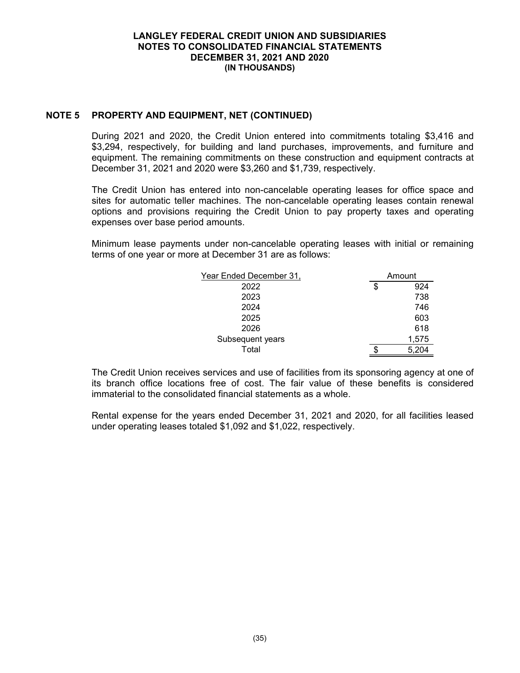## **NOTE 5 PROPERTY AND EQUIPMENT, NET (CONTINUED)**

During 2021 and 2020, the Credit Union entered into commitments totaling \$3,416 and \$3,294, respectively, for building and land purchases, improvements, and furniture and equipment. The remaining commitments on these construction and equipment contracts at December 31, 2021 and 2020 were \$3,260 and \$1,739, respectively.

The Credit Union has entered into non-cancelable operating leases for office space and sites for automatic teller machines. The non-cancelable operating leases contain renewal options and provisions requiring the Credit Union to pay property taxes and operating expenses over base period amounts.

Minimum lease payments under non-cancelable operating leases with initial or remaining terms of one year or more at December 31 are as follows:

| Year Ended December 31, | Amount    |
|-------------------------|-----------|
| 2022                    | \$<br>924 |
| 2023                    | 738       |
| 2024                    | 746       |
| 2025                    | 603       |
| 2026                    | 618       |
| Subsequent years        | 1,575     |
| Total                   | 5.204     |

The Credit Union receives services and use of facilities from its sponsoring agency at one of its branch office locations free of cost. The fair value of these benefits is considered immaterial to the consolidated financial statements as a whole.

Rental expense for the years ended December 31, 2021 and 2020, for all facilities leased under operating leases totaled \$1,092 and \$1,022, respectively.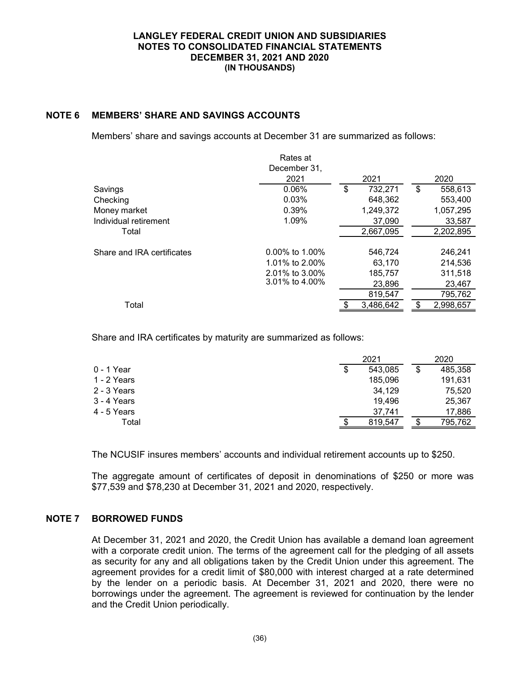# **NOTE 6 MEMBERS' SHARE AND SAVINGS ACCOUNTS**

Members' share and savings accounts at December 31 are summarized as follows:

|                            | Rates at          |               |               |
|----------------------------|-------------------|---------------|---------------|
|                            | December 31,      |               |               |
|                            | 2021              | 2021          | 2020          |
| Savings                    | 0.06%             | \$<br>732,271 | \$<br>558,613 |
| Checking                   | 0.03%             | 648,362       | 553,400       |
| Money market               | 0.39%             | 1,249,372     | 1,057,295     |
| Individual retirement      | 1.09%             | 37,090        | 33,587        |
| Total                      |                   | 2,667,095     | 2,202,895     |
| Share and IRA certificates | $0.00\%$ to 1.00% | 546,724       | 246,241       |
|                            | 1.01% to 2.00%    | 63,170        | 214,536       |
|                            | 2.01% to 3.00%    | 185.757       | 311.518       |
|                            | 3.01% to 4.00%    | 23,896        | 23,467        |
|                            |                   | 819,547       | 795,762       |
| Total                      |                   | 3,486,642     | 2,998,657     |

Share and IRA certificates by maturity are summarized as follows:

|              | 2021          | 2020          |
|--------------|---------------|---------------|
| $0 - 1$ Year | \$<br>543,085 | \$<br>485,358 |
| 1 - 2 Years  | 185,096       | 191,631       |
| 2 - 3 Years  | 34,129        | 75,520        |
| 3 - 4 Years  | 19.496        | 25.367        |
| 4 - 5 Years  | 37,741        | 17,886        |
| Total        | 819,547       | 795,762       |

The NCUSIF insures members' accounts and individual retirement accounts up to \$250.

The aggregate amount of certificates of deposit in denominations of \$250 or more was \$77,539 and \$78,230 at December 31, 2021 and 2020, respectively.

# **NOTE 7 BORROWED FUNDS**

At December 31, 2021 and 2020, the Credit Union has available a demand loan agreement with a corporate credit union. The terms of the agreement call for the pledging of all assets as security for any and all obligations taken by the Credit Union under this agreement. The agreement provides for a credit limit of \$80,000 with interest charged at a rate determined by the lender on a periodic basis. At December 31, 2021 and 2020, there were no borrowings under the agreement. The agreement is reviewed for continuation by the lender and the Credit Union periodically.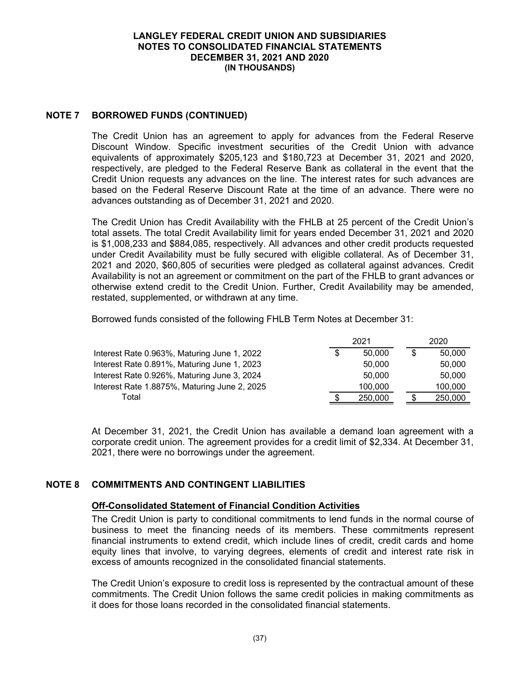# **NOTE 7 BORROWED FUNDS (CONTINUED)**

The Credit Union has an agreement to apply for advances from the Federal Reserve Discount Window. Specific investment securities of the Credit Union with advance equivalents of approximately \$205,123 and \$180,723 at December 31, 2021 and 2020, respectively, are pledged to the Federal Reserve Bank as collateral in the event that the Credit Union requests any advances on the line. The interest rates for such advances are based on the Federal Reserve Discount Rate at the time of an advance. There were no advances outstanding as of December 31, 2021 and 2020.

The Credit Union has Credit Availability with the FHLB at 25 percent of the Credit Union's total assets. The total Credit Availability limit for years ended December 31, 2021 and 2020 is \$1,008,233 and \$884,085, respectively. All advances and other credit products requested under Credit Availability must be fully secured with eligible collateral. As of December 31, 2021 and 2020, \$60,805 of securities were pledged as collateral against advances. Credit Availability is not an agreement or commitment on the part of the FHLB to grant advances or otherwise extend credit to the Credit Union. Further, Credit Availability may be amended, restated, supplemented, or withdrawn at any time.

Borrowed funds consisted of the following FHLB Term Notes at December 31:

|                                              |      | 2021    |    | 2020    |
|----------------------------------------------|------|---------|----|---------|
| Interest Rate 0.963%, Maturing June 1, 2022  | S    | 50,000  | \$ | 50,000  |
| Interest Rate 0.891%, Maturing June 1, 2023  |      | 50,000  |    | 50,000  |
| Interest Rate 0.926%, Maturing June 3, 2024  |      | 50,000  |    | 50,000  |
| Interest Rate 1.8875%, Maturing June 2, 2025 |      | 100,000 |    | 100,000 |
| Total                                        | - \$ | 250,000 |    | 250,000 |

At December 31, 2021, the Credit Union has available a demand loan agreement with a corporate credit union. The agreement provides for a credit limit of \$2,334. At December 31, 2021, there were no borrowings under the agreement.

#### **NOTE 8 COMMITMENTS AND CONTINGENT LIABILITIES**

#### **Off-Consolidated Statement of Financial Condition Activities**

The Credit Union is party to conditional commitments to lend funds in the normal course of business to meet the financing needs of its members. These commitments represent financial instruments to extend credit, which include lines of credit, credit cards and home equity lines that involve, to varying degrees, elements of credit and interest rate risk in excess of amounts recognized in the consolidated financial statements.

The Credit Union's exposure to credit loss is represented by the contractual amount of these commitments. The Credit Union follows the same credit policies in making commitments as it does for those loans recorded in the consolidated financial statements.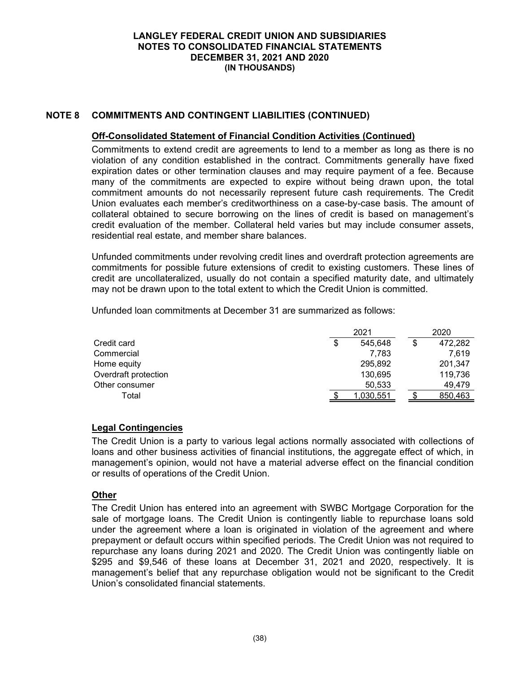# **NOTE 8 COMMITMENTS AND CONTINGENT LIABILITIES (CONTINUED)**

## **Off-Consolidated Statement of Financial Condition Activities (Continued)**

Commitments to extend credit are agreements to lend to a member as long as there is no violation of any condition established in the contract. Commitments generally have fixed expiration dates or other termination clauses and may require payment of a fee. Because many of the commitments are expected to expire without being drawn upon, the total commitment amounts do not necessarily represent future cash requirements. The Credit Union evaluates each member's creditworthiness on a case-by-case basis. The amount of collateral obtained to secure borrowing on the lines of credit is based on management's credit evaluation of the member. Collateral held varies but may include consumer assets, residential real estate, and member share balances.

Unfunded commitments under revolving credit lines and overdraft protection agreements are commitments for possible future extensions of credit to existing customers. These lines of credit are uncollateralized, usually do not contain a specified maturity date, and ultimately may not be drawn upon to the total extent to which the Credit Union is committed.

Unfunded loan commitments at December 31 are summarized as follows:

|                      | 2021 |           |  | 2020          |  |
|----------------------|------|-----------|--|---------------|--|
| Credit card          | \$   | 545,648   |  | \$<br>472,282 |  |
| Commercial           |      | 7.783     |  | 7.619         |  |
| Home equity          |      | 295,892   |  | 201,347       |  |
| Overdraft protection |      | 130,695   |  | 119,736       |  |
| Other consumer       |      | 50,533    |  | 49.479        |  |
| Total                |      | 1,030,551 |  | 850,463       |  |

# **Legal Contingencies**

The Credit Union is a party to various legal actions normally associated with collections of loans and other business activities of financial institutions, the aggregate effect of which, in management's opinion, would not have a material adverse effect on the financial condition or results of operations of the Credit Union.

#### **Other**

The Credit Union has entered into an agreement with SWBC Mortgage Corporation for the sale of mortgage loans. The Credit Union is contingently liable to repurchase loans sold under the agreement where a loan is originated in violation of the agreement and where prepayment or default occurs within specified periods. The Credit Union was not required to repurchase any loans during 2021 and 2020. The Credit Union was contingently liable on \$295 and \$9,546 of these loans at December 31, 2021 and 2020, respectively. It is management's belief that any repurchase obligation would not be significant to the Credit Union's consolidated financial statements.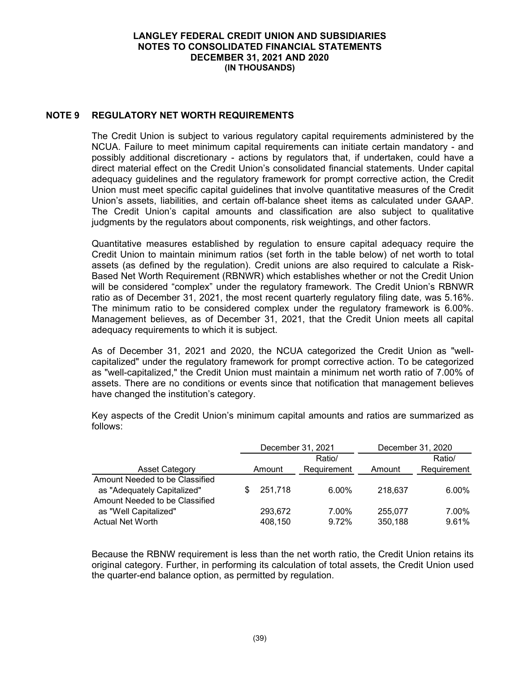## **NOTE 9 REGULATORY NET WORTH REQUIREMENTS**

The Credit Union is subject to various regulatory capital requirements administered by the NCUA. Failure to meet minimum capital requirements can initiate certain mandatory - and possibly additional discretionary - actions by regulators that, if undertaken, could have a direct material effect on the Credit Union's consolidated financial statements. Under capital adequacy guidelines and the regulatory framework for prompt corrective action, the Credit Union must meet specific capital guidelines that involve quantitative measures of the Credit Union's assets, liabilities, and certain off-balance sheet items as calculated under GAAP. The Credit Union's capital amounts and classification are also subject to qualitative judgments by the regulators about components, risk weightings, and other factors.

Quantitative measures established by regulation to ensure capital adequacy require the Credit Union to maintain minimum ratios (set forth in the table below) of net worth to total assets (as defined by the regulation). Credit unions are also required to calculate a Risk-Based Net Worth Requirement (RBNWR) which establishes whether or not the Credit Union will be considered "complex" under the regulatory framework. The Credit Union's RBNWR ratio as of December 31, 2021, the most recent quarterly regulatory filing date, was 5.16%. The minimum ratio to be considered complex under the regulatory framework is 6.00%. Management believes, as of December 31, 2021, that the Credit Union meets all capital adequacy requirements to which it is subject.

As of December 31, 2021 and 2020, the NCUA categorized the Credit Union as "wellcapitalized" under the regulatory framework for prompt corrective action. To be categorized as "well-capitalized," the Credit Union must maintain a minimum net worth ratio of 7.00% of assets. There are no conditions or events since that notification that management believes have changed the institution's category.

Key aspects of the Credit Union's minimum capital amounts and ratios are summarized as follows:

|                                | December 31, 2021 |         |             | December 31, 2020 |             |  |
|--------------------------------|-------------------|---------|-------------|-------------------|-------------|--|
|                                |                   |         | Ratio/      |                   | Ratio/      |  |
| <b>Asset Category</b>          |                   | Amount  | Requirement | Amount            | Requirement |  |
| Amount Needed to be Classified |                   |         |             |                   |             |  |
| as "Adequately Capitalized"    |                   | 251.718 | 6.00%       | 218.637           | 6.00%       |  |
| Amount Needed to be Classified |                   |         |             |                   |             |  |
| as "Well Capitalized"          |                   | 293,672 | 7.00%       | 255,077           | 7.00%       |  |
| <b>Actual Net Worth</b>        |                   | 408,150 | 9.72%       | 350,188           | 9.61%       |  |

Because the RBNW requirement is less than the net worth ratio, the Credit Union retains its original category. Further, in performing its calculation of total assets, the Credit Union used the quarter-end balance option, as permitted by regulation.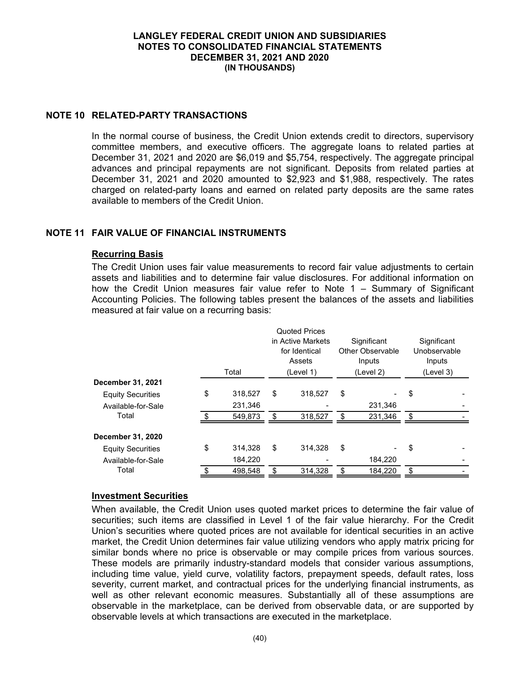## **NOTE 10 RELATED-PARTY TRANSACTIONS**

In the normal course of business, the Credit Union extends credit to directors, supervisory committee members, and executive officers. The aggregate loans to related parties at December 31, 2021 and 2020 are \$6,019 and \$5,754, respectively. The aggregate principal advances and principal repayments are not significant. Deposits from related parties at December 31, 2021 and 2020 amounted to \$2,923 and \$1,988, respectively. The rates charged on related-party loans and earned on related party deposits are the same rates available to members of the Credit Union.

## **NOTE 11 FAIR VALUE OF FINANCIAL INSTRUMENTS**

#### **Recurring Basis**

The Credit Union uses fair value measurements to record fair value adjustments to certain assets and liabilities and to determine fair value disclosures. For additional information on how the Credit Union measures fair value refer to Note 1 – Summary of Significant Accounting Policies. The following tables present the balances of the assets and liabilities measured at fair value on a recurring basis:

|                          | Total         | <b>Quoted Prices</b><br>in Active Markets<br>for Identical<br>Assets<br>(Level 1) |    | Significant<br><b>Other Observable</b><br>Inputs<br>(Level 2) |    |  |  | Significant<br>Unobservable<br>Inputs<br>(Level 3) |
|--------------------------|---------------|-----------------------------------------------------------------------------------|----|---------------------------------------------------------------|----|--|--|----------------------------------------------------|
| <b>December 31, 2021</b> |               |                                                                                   |    |                                                               |    |  |  |                                                    |
| <b>Equity Securities</b> | \$<br>318,527 | \$<br>318.527                                                                     | \$ |                                                               | \$ |  |  |                                                    |
| Available-for-Sale       | 231,346       |                                                                                   |    | 231,346                                                       |    |  |  |                                                    |
| Total                    | 549,873       | \$<br>318,527                                                                     | \$ | 231,346                                                       | \$ |  |  |                                                    |
| December 31, 2020        |               |                                                                                   |    |                                                               |    |  |  |                                                    |
| <b>Equity Securities</b> | \$<br>314,328 | \$<br>314.328                                                                     | \$ |                                                               | \$ |  |  |                                                    |
| Available-for-Sale       | 184,220       |                                                                                   |    | 184,220                                                       |    |  |  |                                                    |
| Total                    | 498.548       | \$<br>314,328                                                                     | \$ | 184,220                                                       | \$ |  |  |                                                    |

#### **Investment Securities**

When available, the Credit Union uses quoted market prices to determine the fair value of securities; such items are classified in Level 1 of the fair value hierarchy. For the Credit Union's securities where quoted prices are not available for identical securities in an active market, the Credit Union determines fair value utilizing vendors who apply matrix pricing for similar bonds where no price is observable or may compile prices from various sources. These models are primarily industry-standard models that consider various assumptions, including time value, yield curve, volatility factors, prepayment speeds, default rates, loss severity, current market, and contractual prices for the underlying financial instruments, as well as other relevant economic measures. Substantially all of these assumptions are observable in the marketplace, can be derived from observable data, or are supported by observable levels at which transactions are executed in the marketplace.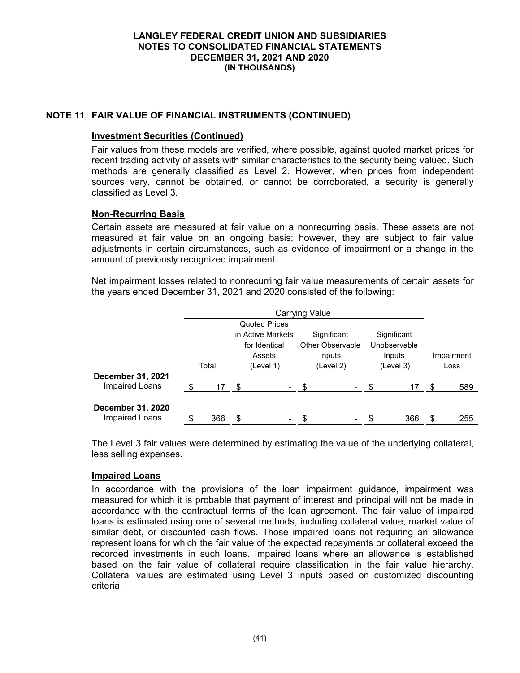# **NOTE 11 FAIR VALUE OF FINANCIAL INSTRUMENTS (CONTINUED)**

## **Investment Securities (Continued)**

Fair values from these models are verified, where possible, against quoted market prices for recent trading activity of assets with similar characteristics to the security being valued. Such methods are generally classified as Level 2. However, when prices from independent sources vary, cannot be obtained, or cannot be corroborated, a security is generally classified as Level 3.

## **Non-Recurring Basis**

Certain assets are measured at fair value on a nonrecurring basis. These assets are not measured at fair value on an ongoing basis; however, they are subject to fair value adjustments in certain circumstances, such as evidence of impairment or a change in the amount of previously recognized impairment.

Net impairment losses related to nonrecurring fair value measurements of certain assets for the years ended December 31, 2021 and 2020 consisted of the following:

|                                                   | <b>Carrying Value</b> |       |           |                      |           |                  |           |              |            |     |
|---------------------------------------------------|-----------------------|-------|-----------|----------------------|-----------|------------------|-----------|--------------|------------|-----|
|                                                   |                       |       |           | <b>Quoted Prices</b> |           |                  |           |              |            |     |
|                                                   |                       |       |           | in Active Markets    |           | Significant      |           | Significant  |            |     |
|                                                   |                       |       |           | for Identical        |           | Other Observable |           | Unobservable |            |     |
|                                                   |                       |       | Assets    |                      | Inputs    |                  | Inputs    |              | Impairment |     |
|                                                   |                       | Total | (Level 1) |                      | (Level 2) |                  | (Level 3) |              | Loss       |     |
| <b>December 31, 2021</b><br><b>Impaired Loans</b> |                       | 17    | .ዌ        | $\blacksquare$       |           |                  |           | 17           | Т          | 589 |
| December 31, 2020<br><b>Impaired Loans</b>        |                       | 366   |           |                      |           |                  |           | 366          |            | 255 |

The Level 3 fair values were determined by estimating the value of the underlying collateral, less selling expenses.

#### **Impaired Loans**

In accordance with the provisions of the loan impairment guidance, impairment was measured for which it is probable that payment of interest and principal will not be made in accordance with the contractual terms of the loan agreement. The fair value of impaired loans is estimated using one of several methods, including collateral value, market value of similar debt, or discounted cash flows. Those impaired loans not requiring an allowance represent loans for which the fair value of the expected repayments or collateral exceed the recorded investments in such loans. Impaired loans where an allowance is established based on the fair value of collateral require classification in the fair value hierarchy. Collateral values are estimated using Level 3 inputs based on customized discounting criteria.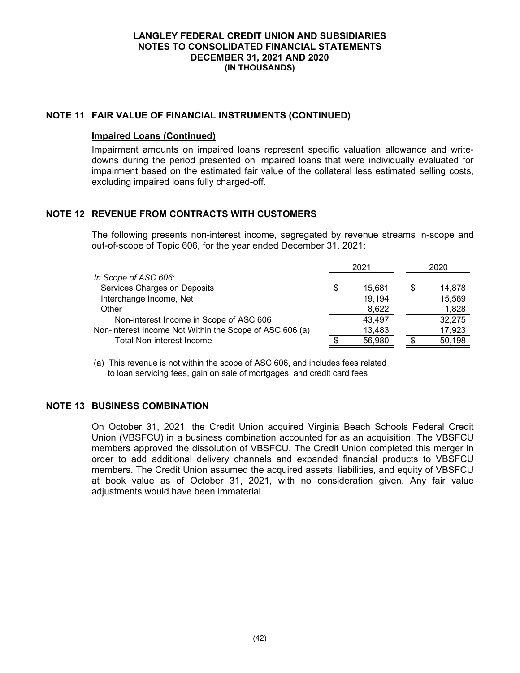# **NOTE 11 FAIR VALUE OF FINANCIAL INSTRUMENTS (CONTINUED)**

## **Impaired Loans (Continued)**

Impairment amounts on impaired loans represent specific valuation allowance and writedowns during the period presented on impaired loans that were individually evaluated for impairment based on the estimated fair value of the collateral less estimated selling costs, excluding impaired loans fully charged-off.

# **NOTE 12 REVENUE FROM CONTRACTS WITH CUSTOMERS**

The following presents non-interest income, segregated by revenue streams in-scope and out-of-scope of Topic 606, for the year ended December 31, 2021:

|                                                         |    | 2021   |   | 2020   |  |  |
|---------------------------------------------------------|----|--------|---|--------|--|--|
| In Scope of ASC 606:                                    |    |        |   |        |  |  |
| Services Charges on Deposits                            | S. | 15.681 | S | 14,878 |  |  |
| Interchange Income, Net                                 |    | 19,194 |   | 15,569 |  |  |
| Other                                                   |    | 8,622  |   | 1,828  |  |  |
| Non-interest Income in Scope of ASC 606                 |    | 43,497 |   | 32,275 |  |  |
| Non-interest Income Not Within the Scope of ASC 606 (a) |    | 13,483 |   | 17,923 |  |  |
| <b>Total Non-interest Income</b>                        | \$ | 56,980 |   | 50,198 |  |  |

(a) This revenue is not within the scope of ASC 606, and includes fees related to loan servicing fees, gain on sale of mortgages, and credit card fees

# **NOTE 13 BUSINESS COMBINATION**

On October 31, 2021, the Credit Union acquired Virginia Beach Schools Federal Credit Union (VBSFCU) in a business combination accounted for as an acquisition. The VBSFCU members approved the dissolution of VBSFCU. The Credit Union completed this merger in order to add additional delivery channels and expanded financial products to VBSFCU members. The Credit Union assumed the acquired assets, liabilities, and equity of VBSFCU at book value as of October 31, 2021, with no consideration given. Any fair value adjustments would have been immaterial.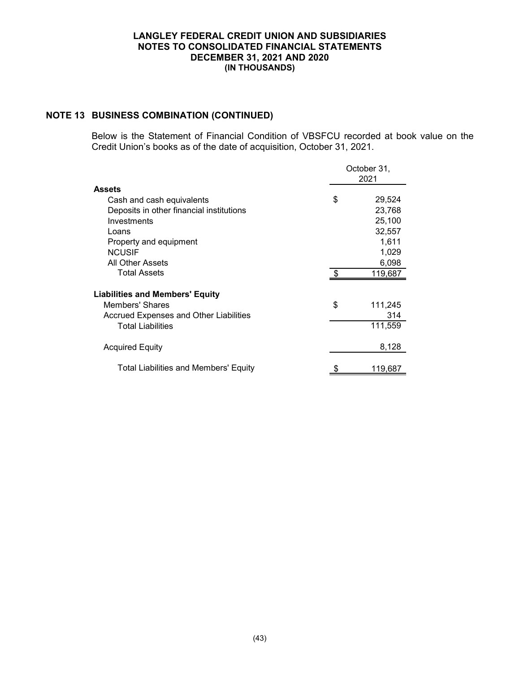# **NOTE 13 BUSINESS COMBINATION (CONTINUED)**

Below is the Statement of Financial Condition of VBSFCU recorded at book value on the Credit Union's books as of the date of acquisition, October 31, 2021.

|                                               | October 31,<br>2021 |         |  |
|-----------------------------------------------|---------------------|---------|--|
| <b>Assets</b>                                 |                     |         |  |
| Cash and cash equivalents                     | \$                  | 29,524  |  |
| Deposits in other financial institutions      |                     | 23,768  |  |
| Investments                                   |                     | 25,100  |  |
| Loans                                         |                     | 32,557  |  |
| Property and equipment                        |                     | 1,611   |  |
| <b>NCUSIF</b>                                 |                     | 1,029   |  |
| All Other Assets                              |                     | 6,098   |  |
| <b>Total Assets</b>                           |                     | 119,687 |  |
| Liabilities and Members' Equity               |                     |         |  |
| <b>Members' Shares</b>                        | \$                  | 111,245 |  |
| <b>Accrued Expenses and Other Liabilities</b> |                     | 314     |  |
| <b>Total Liabilities</b>                      |                     | 111,559 |  |
| Acquired Equity                               |                     | 8,128   |  |
| <b>Total Liabilities and Members' Equity</b>  | S                   | 119.687 |  |